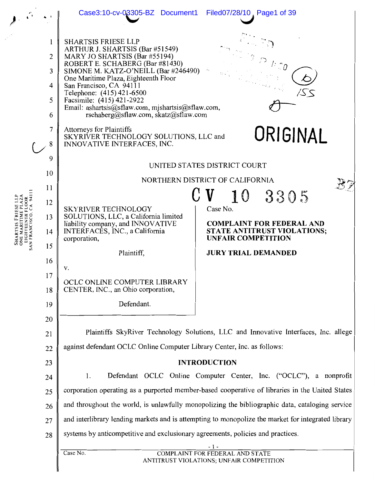|              |                                         | Case3:10-cv-03305-BZ Document1 Filed07/28/10, Page1 of 39                                                                                                                                                                                                                                                                                                                                           |                                                                                      |  |  |  |  |
|--------------|-----------------------------------------|-----------------------------------------------------------------------------------------------------------------------------------------------------------------------------------------------------------------------------------------------------------------------------------------------------------------------------------------------------------------------------------------------------|--------------------------------------------------------------------------------------|--|--|--|--|
|              | 1<br>2<br>3<br>$\overline{4}$<br>5<br>6 | <b>SHARTSIS FRIESE LLP</b><br>ARTHUR J. SHARTSIS (Bar #51549)<br>MARY JO SHARTSIS (Bar #55194)<br>ROBERT E. SCHABERG (Bar #81430)<br>SIMONE M. KATZ-O'NEILL (Bar #246490)<br>One Maritime Plaza, Eighteenth Floor<br>San Francisco, CA 94111<br>Telephone: (415) 421-6500<br>Facsimile: (415) 421-2922<br>Email: ashartsis@sflaw.com, mjshartsis@sflaw.com,<br>rschaberg@sflaw.com, skatz@sflaw.com | $\hat{\psi}$                                                                         |  |  |  |  |
|              | $\overline{7}$<br>8                     | Attorneys for Plaintiffs<br>SKYRIVER TECHNOLOGY SOLUTIONS, LLC and<br>ORIGINAL<br>INNOVATIVE INTERFACES, INC.                                                                                                                                                                                                                                                                                       |                                                                                      |  |  |  |  |
|              | 9                                       | UNITED STATES DISTRICT COURT                                                                                                                                                                                                                                                                                                                                                                        |                                                                                      |  |  |  |  |
|              | 10                                      | NORTHERN DISTRICT OF CALIFORNIA                                                                                                                                                                                                                                                                                                                                                                     |                                                                                      |  |  |  |  |
|              | 11                                      |                                                                                                                                                                                                                                                                                                                                                                                                     | 10<br>3305                                                                           |  |  |  |  |
|              | 12                                      | <b>SKYRIVER TECHNOLOGY</b>                                                                                                                                                                                                                                                                                                                                                                          | Case No.                                                                             |  |  |  |  |
|              | 13                                      | SOLUTIONS, LLC, a California limited<br>liability company, and INNOVATIVE                                                                                                                                                                                                                                                                                                                           | <b>COMPLAINT FOR FEDERAL AND</b>                                                     |  |  |  |  |
| SAN FRANCISC | 14                                      | INTERFACES, INC., a California<br>corporation,                                                                                                                                                                                                                                                                                                                                                      | STATE ANTITRUST VIOLATIONS;<br><b>UNFAIR COMPETITION</b>                             |  |  |  |  |
|              | 15                                      | Plaintiff,                                                                                                                                                                                                                                                                                                                                                                                          | <b>JURY TRIAL DEMANDED</b>                                                           |  |  |  |  |
|              | 16                                      | V.                                                                                                                                                                                                                                                                                                                                                                                                  |                                                                                      |  |  |  |  |
|              | 17                                      | OCLC ONLINE COMPUTER LIBRARY                                                                                                                                                                                                                                                                                                                                                                        |                                                                                      |  |  |  |  |
|              | 18                                      | CENTER, INC., an Ohio corporation,                                                                                                                                                                                                                                                                                                                                                                  |                                                                                      |  |  |  |  |
|              | 19                                      | Defendant.                                                                                                                                                                                                                                                                                                                                                                                          |                                                                                      |  |  |  |  |
|              | 20                                      |                                                                                                                                                                                                                                                                                                                                                                                                     |                                                                                      |  |  |  |  |
|              | 21                                      |                                                                                                                                                                                                                                                                                                                                                                                                     | Plaintiffs SkyRiver Technology Solutions, LLC and Innovative Interfaces, Inc. allege |  |  |  |  |
|              | 22                                      | against defendant OCLC Online Computer Library Center, Inc. as follows:                                                                                                                                                                                                                                                                                                                             |                                                                                      |  |  |  |  |
|              | 23                                      |                                                                                                                                                                                                                                                                                                                                                                                                     | <b>INTRODUCTION</b>                                                                  |  |  |  |  |
|              | 24                                      | Defendant OCLC Online Computer Center, Inc. ("OCLC"), a nonprofit<br>1.                                                                                                                                                                                                                                                                                                                             |                                                                                      |  |  |  |  |
|              | 25                                      | corporation operating as a purported member-based cooperative of libraries in the United States                                                                                                                                                                                                                                                                                                     |                                                                                      |  |  |  |  |
|              | 26                                      | and throughout the world, is unlawfully monopolizing the bibliographic data, cataloging service                                                                                                                                                                                                                                                                                                     |                                                                                      |  |  |  |  |
|              | 27                                      | and interlibrary lending markets and is attempting to monopolize the market for integrated library                                                                                                                                                                                                                                                                                                  |                                                                                      |  |  |  |  |
|              | 28                                      | systems by anticompetitive and exclusionary agreements, policies and practices.                                                                                                                                                                                                                                                                                                                     |                                                                                      |  |  |  |  |
|              |                                         | $-1-$<br>Case No.<br><b>COMPLAINT FOR FEDERAL AND STATE</b>                                                                                                                                                                                                                                                                                                                                         |                                                                                      |  |  |  |  |
|              |                                         |                                                                                                                                                                                                                                                                                                                                                                                                     | ANTITRUST VIOLATIONS; UNFAIR COMPETITION                                             |  |  |  |  |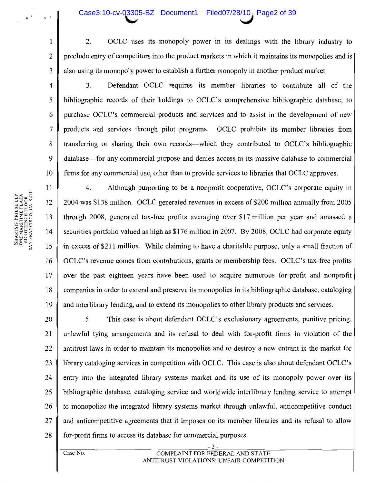### Case3:10-cv-03305-BZ Document1 Filed07/28/10, Page2 of 39

- $\overline{2}$ . OCLC uses its monopoly power in its dealings with the library industry to preclude entry of competitors into the product markets in which it maintains its monopolies and is also using its monopoly power to establish a further monopoly in another product market.
- $3<sub>1</sub>$ Defendant OCLC requires its member libraries to contribute all of the bibliographic records of their holdings to OCLC's comprehensive bibliographic database, to purchase OCLC's commercial products and services and to assist in the development of new products and services through pilot programs. OCLC prohibits its member libraries from transferring or sharing their own records—which they contributed to OCLC's bibliographic database—for any commercial purpose and denies access to its massive database to commercial firms for any commercial use, other than to provide services to libraries that OCLC approves.

 $\overline{4}$ . Although purporting to be a nonprofit cooperative, OCLC's corporate equity in 2004 was \$138 million. OCLC generated revenues in excess of \$200 million annually from 2005 through 2008, generated tax-free profits averaging over \$17 million per year and amassed a securities portfolio valued as high as \$176 million in 2007. By 2008, OCLC had corporate equity in excess of \$211 million. While claiming to have a charitable purpose, only a small fraction of OCLC's revenue comes from contributions, grants or membership fees. OCLC's tax-free profits over the past eighteen years have been used to acquire numerous for-profit and nonprofit companies in order to extend and preserve its monopolies in its bibliographic database, cataloging and interlibrary lending, and to extend its monopolies to other library products and services.

5. This case is about defendant OCLC's exclusionary agreements, punitive pricing, 20 unlawful tying arrangements and its refusal to deal with for-profit firms in violation of the 21 antitrust laws in order to maintain its monopolies and to destroy a new entrant in the market for 22 library cataloging services in competition with OCLC. This case is also about defendant OCLC's 23 entry into the integrated library systems market and its use of its monopoly power over its  $24$ bibliographic database, cataloging service and worldwide interlibrary lending service to attempt 25 to monopolize the integrated library systems market through unlawful, anticompetitive conduct 26 27 and anticompetitive agreements that it imposes on its member libraries and its refusal to allow 28 for-profit firms to access its database for commercial purposes.

SHARTSIS FRIESE LLP<br>ONE MARITIME PLAZA<br>EIGHTEENTH FLOOR<br>SAN FRANCISCO, CA 94111

 $\mathbf{1}$ 

 $\overline{2}$ 

 $\overline{3}$ 

4

5

6

 $\overline{7}$ 

8

9

10

11

 $12$ 

13

14

15

16

 $17$ 

18

19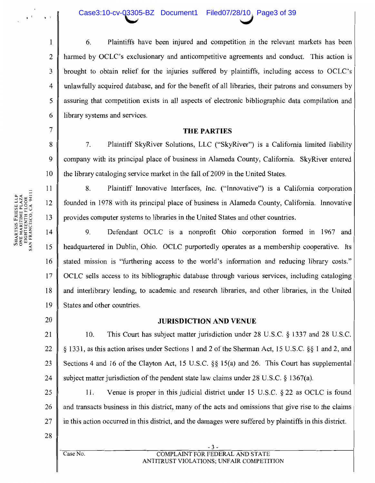### Case3:10-cv-03305-BZ Document1 Filed07/28/10, Page3 of 39

Plaintiffs have been injured and competition in the relevant markets has been 6.  $\overline{2}$ harmed by OCLC's exclusionary and anticompetitive agreements and conduct. This action is  $\overline{3}$ brought to obtain relief for the injuries suffered by plaintiffs, including access to OCLC's  $\overline{4}$ unlawfully acquired database, and for the benefit of all libraries, their patrons and consumers by 5 assuring that competition exists in all aspects of electronic bibliographic data compilation and 6 library systems and services.

### **THE PARTIES**

7. Plaintiff SkyRiver Solutions, LLC ("SkyRiver") is a California limited liability company with its principal place of business in Alameda County, California. SkyRiver entered the library cataloging service market in the fall of 2009 in the United States.

8. Plaintiff Innovative Interfaces, Inc. ("Innovative") is a California corporation founded in 1978 with its principal place of business in Alameda County, California. Innovative provides computer systems to libraries in the United States and other countries.

9. Defendant OCLC is a nonprofit Ohio corporation formed in 1967 and  $14$ 15 headquartered in Dublin, Ohio. OCLC purportedly operates as a membership cooperative. Its 16 stated mission is "furthering access to the world's information and reducing library costs." 17 OCLC sells access to its bibliographic database through various services, including cataloging 18 and interlibrary lending, to academic and research libraries, and other libraries, in the United 19 States and other countries.

20

 $\mathbf{1}$ 

 $\overline{7}$ 

8

9

10

11

12

13

### **JURISDICTION AND VENUE**

21 10. This Court has subject matter jurisdiction under 28 U.S.C. § 1337 and 28 U.S.C. 22 § 1331, as this action arises under Sections 1 and 2 of the Sherman Act, 15 U.S.C. §§ 1 and 2, and 23 Sections 4 and 16 of the Clayton Act, 15 U.S.C. § \$15(a) and 26. This Court has supplemental 24 subject matter jurisdiction of the pendent state law claims under  $28$  U.S.C.  $\S$  1367(a).

25 11. Venue is proper in this judicial district under 15 U.S.C. § 22 as OCLC is found and transacts business in this district, many of the acts and omissions that give rise to the claims 26 27 in this action occurred in this district, and the damages were suffered by plaintiffs in this district.

28

 $\overline{\text{Case No.}}$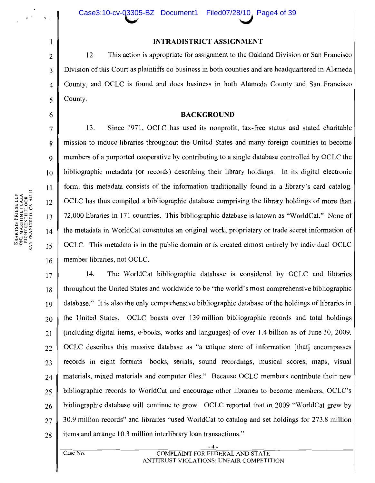### **INTRADISTRICT ASSIGNMENT**

12. This action is appropriate for assignment to the Oakland Division or San Francisco Division of this Court as plaintiffs do business in both counties and are headquartered in Alameda County, and OCLC is found and does business in both Alameda County and San Francisco County.

### **BACKGROUND**

13. Since 1971, OCLC has used its nonprofit, tax-free status and stated charitable mission to induce libraries throughout the United States and many foreign countries to become members of a purported cooperative by contributing to a single database controlled by OCLC the bibliographic metadata (or records) describing their library holdings. In its digital electronic form, this metadata consists of the information traditionally found in a library's card catalog. OCLC has thus compiled a bibliographic database comprising the library holdings of more than 72,000 libraries in 171 countries. This bibliographic database is known as "WorldCat." None of the metadata in WorldCat constitutes an original work, proprietary or trade secret information of OCLC. This metadata is in the public domain or is created almost entirely by individual OCLC member libraries, not OCLC.

 $14.$ The WorldCat bibliographic database is considered by OCLC and libraries 17 throughout the United States and worldwide to be "the world's most comprehensive bibliographic 18 database." It is also the only comprehensive bibliographic database of the holdings of libraries in 19 the United States. OCLC boasts over 139 million bibliographic records and total holdings 20 (including digital items, e-books, works and languages) of over 1.4 billion as of June 30, 2009. 21 OCLC describes this massive database as "a unique store of information [that] encompasses 22 records in eight formats—books, serials, sound recordings, musical scores, maps, visual 23 materials, mixed materials and computer files." Because OCLC members contribute their new 24 bibliographic records to WorldCat and encourage other libraries to become members, OCLC's 25 bibliographic database will continue to grow. OCLC reported that in 2009 "WorldCat grew by 26 30.9 million records" and libraries "used WorldCat to catalog and set holdings for 273.8 million  $27$ items and arrange 10.3 million interlibrary loan transactions." 28

SHARTSIS FRIESE LLP<br>ONE MARITIME PLAZA<br>EIGHTEENTH FLOOR<br>SAN FRANCISCO, CA 94111

 $\mathbf{1}$ 

 $\overline{2}$ 

 $\overline{3}$ 

 $\overline{4}$ 

5

6

 $\overline{7}$ 

8

 $\mathbf Q$ 

 $10$ 

 $11$ 

12

13

 $14$ 

15

16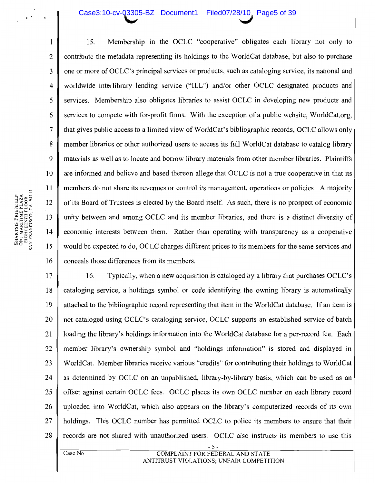### Case3:10-cv-03305-BZ Document1 Filed07/28/10, Page5 of 39

 $\mathbf{1}$ 15. Membership in the OCLC "cooperative" obligates each library not only to  $\overline{2}$ contribute the metadata representing its holdings to the WorldCat database, but also to purchase  $\overline{3}$ one or more of OCLC's principal services or products, such as cataloging service, its national and worldwide interlibrary lending service ("ILL") and/or other OCLC designated products and  $\overline{\mathbf{4}}$ 5 services. Membership also obligates libraries to assist OCLC in developing new products and services to compete with for-profit firms. With the exception of a public website, WorldCat.org. 6  $\overline{7}$ that gives public access to a limited view of WorldCat's bibliographic records, OCLC allows only 8 member libraries or other authorized users to access its full WorldCat database to catalog library  $\mathbf Q$ materials as well as to locate and borrow library materials from other member libraries. Plaintiffs are informed and believe and based thereon allege that OCLC is not a true cooperative in that its 10 11 members do not share its revenues or control its management, operations or policies. A majority 12 of its Board of Trustees is elected by the Board itself. As such, there is no prospect of economic 13 unity between and among OCLC and its member libraries, and there is a distinct diversity of 14 economic interests between them. Rather than operating with transparency as a cooperative 15 would be expected to do, OCLC charges different prices to its members for the same services and 16 conceals those differences from its members.

 $17$ 16. Typically, when a new acquisition is cataloged by a library that purchases OCLC's 18 cataloging service, a holdings symbol or code identifying the owning library is automatically 19 attached to the bibliographic record representing that item in the WorldCat database. If an item is not cataloged using OCLC's cataloging service, OCLC supports an established service of batch 20 21 loading the library's holdings information into the WorldCat database for a per-record fee. Each 22 member library's ownership symbol and "holdings information" is stored and displayed in 23 WorldCat. Member libraries receive various "credits" for contributing their holdings to WorldCat 24 as determined by OCLC on an unpublished, library-by-library basis, which can be used as an 25 offset against certain OCLC fees. OCLC places its own OCLC number on each library record 26 uploaded into WorldCat, which also appears on the library's computerized records of its own 27 holdings. This OCLC number has permitted OCLC to police its members to ensure that their 28 records are not shared with unauthorized users. OCLC also instructs its members to use this

Case No.

SHARTSIS FRESE LLP<br>ONE MARITIME PLAZA<br>EIGHTEENTH FLOOR<br>SAN FRANCISCO, CA 94111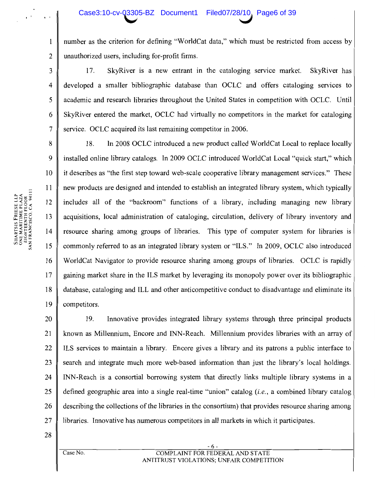### Case3:10-cv-03305-BZ Document1 Filed07/28/10, Page6 of 39

number as the criterion for defining "WorldCat data," which must be restricted from access by unauthorized users, including for-profit firms.

SkyRiver is a new entrant in the cataloging service market. SkyRiver has 17.  $\overline{4}$ developed a smaller bibliographic database than OCLC and offers cataloging services to academic and research libraries throughout the United States in competition with OCLC. Until SkyRiver entered the market, OCLC had virtually no competitors in the market for cataloging service. OCLC acquired its last remaining competitor in 2006.

8 In 2008 OCLC introduced a new product called WorldCat Local to replace locally 18. 9 installed online library catalogs. In 2009 OCLC introduced WorldCat Local "quick start," which it describes as "the first step toward web-scale cooperative library management services." These 10 new products are designed and intended to establish an integrated library system, which typically 12 includes all of the "backroom" functions of a library, including managing new library acquisitions, local administration of cataloging, circulation, delivery of library inventory and 13  $14$ resource sharing among groups of libraries. This type of computer system for libraries is commonly referred to as an integrated library system or "ILS." In 2009, OCLC also introduced WorldCat Navigator to provide resource sharing among groups of libraries. OCLC is rapidly 16 gaining market share in the ILS market by leveraging its monopoly power over its bibliographic 18 database, cataloging and ILL and other anticompetitive conduct to disadvantage and eliminate its 19 competitors.

Innovative provides integrated library systems through three principal products 20 19. known as Millennium, Encore and INN-Reach. Millennium provides libraries with an array of 21 22 ILS services to maintain a library. Encore gives a library and its patrons a public interface to 23 search and integrate much more web-based information than just the library's local holdings. 24 INN-Reach is a consortial borrowing system that directly links multiple library systems in a 25 defined geographic area into a single real-time "union" catalog  $(i.e., a$  combined library catalog 26 describing the collections of the libraries in the consortium) that provides resource sharing among 27 libraries. Innovative has numerous competitors in all markets in which it participates.

28

SHARTSIS FRIESE LLP<br>ONE MARITIME PLAZA<br>EIGHTEENTH FLOOR<br>SAN FRANCISCO, CA 94111

 $\mathbf{1}$ 

 $\overline{2}$ 

3

5

6

 $\overline{7}$ 

11

15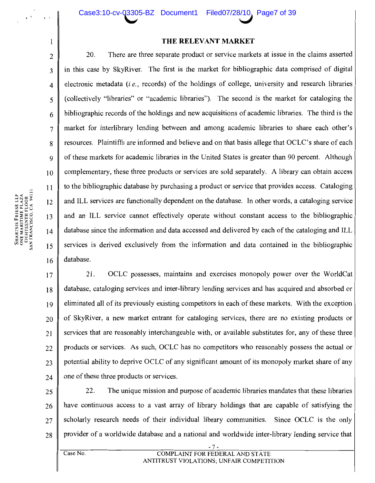### THE RELEVANT MARKET

There are three separate product or service markets at issue in the claims asserted 20. in this case by SkyRiver. The first is the market for bibliographic data comprised of digital electronic metadata (i.e., records) of the holdings of college, university and research libraries (collectively "libraries" or "academic libraries"). The second is the market for cataloging the bibliographic records of the holdings and new acquisitions of academic libraries. The third is the market for interlibrary lending between and among academic libraries to share each other's resources. Plaintiffs are informed and believe and on that basis allege that OCLC's share of each of these markets for academic libraries in the United States is greater than 90 percent. Although complementary, these three products or services are sold separately. A library can obtain access to the bibliographic database by purchasing a product or service that provides access. Cataloging and ILL services are functionally dependent on the database. In other words, a cataloging service and an ILL service cannot effectively operate without constant access to the bibliographic database since the information and data accessed and delivered by each of the cataloging and ILL services is derived exclusively from the information and data contained in the bibliographic database.

21. OCLC possesses, maintains and exercises monopoly power over the WorldCat  $17$ database, cataloging services and inter-library lending services and has acquired and absorbed or 18 eliminated all of its previously existing competitors in each of these markets. With the exception 19 of SkyRiver, a new market entrant for cataloging services, there are no existing products or 20 services that are reasonably interchangeable with, or available substitutes for, any of these three 21 products or services. As such, OCLC has no competitors who reasonably possess the actual or 22 potential ability to deprive OCLC of any significant amount of its monopoly market share of any  $23$ one of these three products or services.  $24$ 

22. The unique mission and purpose of academic libraries mandates that these libraries 25 have continuous access to a vast array of library holdings that are capable of satisfying the 26 scholarly research needs of their individual library communities. Since OCLC is the only 27 provider of a worldwide database and a national and worldwide inter-library lending service that 28

 $\mathbf{l}$ 

 $\overline{2}$ 

 $\overline{3}$ 

4

5

6

 $\overline{7}$ 

 $\mathbf{8}$ 

 $\mathbf Q$ 

10

 $11$ 

12

13

 $14$ 

15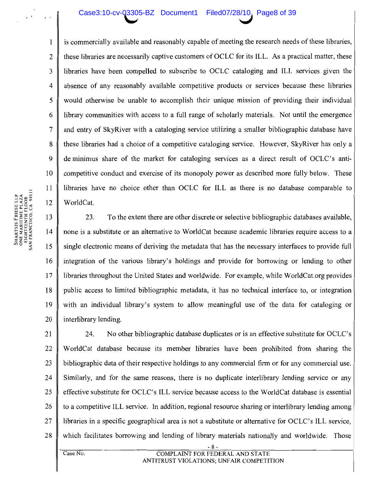### Case3:10-cv-Q3305-BZ Document1 Filed07/28/10, Page8 of 39

is commercially available and reasonably capable of meeting the research needs of these libraries, these libraries are necessarily captive customers of OCLC for its ILL. As a practical matter, these libraries have been compelled to subscribe to OCLC cataloging and ILL services given the absence of any reasonably available competitive products or services because these libraries would otherwise be unable to accomplish their unique mission of providing their individual library communities with access to a full range of scholarly materials. Not until the emergence and entry of SkyRiver with a cataloging service utilizing a smaller bibliographic database have these libraries had a choice of a competitive cataloging service. However, SkyRiver has only a de minimus share of the market for cataloging services as a direct result of OCLC's anticompetitive conduct and exercise of its monopoly power as described more fully below. These libraries have no choice other than OCLC for ILL as there is no database comparable to WorldCat.

13 23. To the extent there are other discrete or selective bibliographic databases available, none is a substitute or an alternative to WorldCat because academic libraries require access to a 14 15 single electronic means of deriving the metadata that has the necessary interfaces to provide full 16 integration of the various library's holdings and provide for borrowing or lending to other 17 libraries throughout the United States and worldwide. For example, while WorldCat.org provides 18 public access to limited bibliographic metadata, it has no technical interface to, or integration 19 with an individual library's system to allow meaningful use of the data for cataloging or 20 interlibrary lending.

21 24. No other bibliographic database duplicates or is an effective substitute for OCLC's 22 WorldCat database because its member libraries have been prohibited from sharing the 23 bibliographic data of their respective holdings to any commercial firm or for any commercial use. 24 Similarly, and for the same reasons, there is no duplicate interlibrary lending service or any 25 effective substitute for OCLC's ILL service because access to the WorldCat database is essential 26 to a competitive ILL service. In addition, regional resource sharing or interlibrary lending among 27 libraries in a specific geographical area is not a substitute or alternative for OCLC's ILL service, 28 which facilitates borrowing and lending of library materials nationally and worldwide. Those

 $\mathbf{1}$ 

 $\overline{2}$ 

3

4

5

6

 $7\phantom{.0}$ 

8

 $\mathbf Q$ 

10

11

12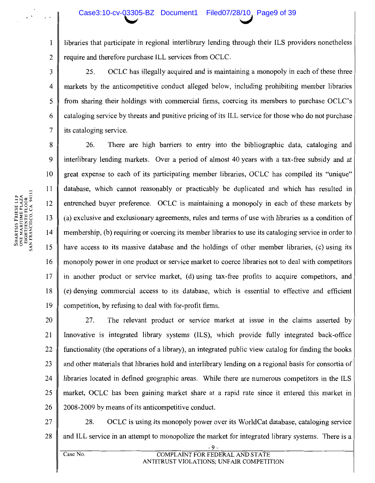libraries that participate in regional interlibrary lending through their ILS providers nonetheless require and therefore purchase ILL services from OCLC.

25. OCLC has illegally acquired and is maintaining a monopoly in each of these three markets by the anticompetitive conduct alleged below, including prohibiting member libraries from sharing their holdings with commercial firms, coercing its members to purchase OCLC's cataloging service by threats and punitive pricing of its ILL service for those who do not purchase its cataloging service.

8 26. There are high barriers to entry into the bibliographic data, cataloging and  $\mathbf Q$ interlibrary lending markets. Over a period of almost 40 years with a tax-free subsidy and at 10 great expense to each of its participating member libraries, OCLC has compiled its "unique" 11 database, which cannot reasonably or practicably be duplicated and which has resulted in 12 entrenched buyer preference. OCLC is maintaining a monopoly in each of these markets by 13 (a) exclusive and exclusionary agreements, rules and terms of use with libraries as a condition of 14 membership, (b) requiring or coercing its member libraries to use its cataloging service in order to 15 have access to its massive database and the holdings of other member libraries, (c) using its 16 monopoly power in one product or service market to coerce libraries not to deal with competitors  $17$ in another product or service market, (d) using tax-free profits to acquire competitors, and 18 (e) denying commercial access to its database, which is essential to effective and efficient 19 competition, by refusing to deal with for-profit firms.

20 The relevant product or service market at issue in the claims asserted by 27. 21 Innovative is integrated library systems (ILS), which provide fully integrated back-office 22 functionality (the operations of a library), an integrated public view catalog for finding the books 23 and other materials that libraries hold and interlibrary lending on a regional basis for consortia of 24 libraries located in defined geographic areas. While there are numerous competitors in the ILS 25 market, OCLC has been gaining market share at a rapid rate since it entered this market in 26 2008-2009 by means of its anticompetitive conduct.

27 28. OCLC is using its monopoly power over its WorldCat database, cataloging service 28 and ILL service in an attempt to monopolize the market for integrated library systems. There is a

 $\mathbf{1}$ 

 $\overline{2}$ 

3

 $\overline{4}$ 

5

6

 $\overline{7}$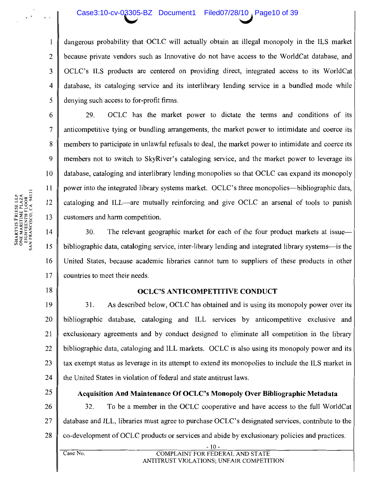### Case3:10-cv-03305-BZ Document1 Filed07/28/10, Page10 of 39

dangerous probability that OCLC will actually obtain an illegal monopoly in the ILS market because private vendors such as Innovative do not have access to the WorldCat database, and  $\overline{3}$ OCLC's ILS products are centered on providing direct, integrated access to its WorldCat database, its cataloging service and its interlibrary lending service in a bundled mode while  $\overline{4}$ 5 denying such access to for-profit firms.

29. OCLC has the market power to dictate the terms and conditions of its anticompetitive tying or bundling arrangements, the market power to intimidate and coerce its members to participate in unlawful refusals to deal, the market power to intimidate and coerce its members not to switch to SkyRiver's cataloging service, and the market power to leverage its database, cataloging and interlibrary lending monopolies so that OCLC can expand its monopoly power into the integrated library systems market. OCLC's three monopolies—bibliographic data, cataloging and ILL—are mutually reinforcing and give OCLC an arsenal of tools to punish customers and harm competition.

30. 14 The relevant geographic market for each of the four product markets at issue— 15 bibliographic data, cataloging service, inter-library lending and integrated library systems—is the 16 United States, because academic libraries cannot turn to suppliers of these products in other 17 countries to meet their needs.

### **OCLC'S ANTICOMPETITIVE CONDUCT**

19  $31.$ As described below, OCLC has obtained and is using its monopoly power over its 20 bibliographic database, cataloging and ILL services by anticompetitive exclusive and 21 exclusionary agreements and by conduct designed to eliminate all competition in the library 22 bibliographic data, cataloging and ILL markets. OCLC is also using its monopoly power and its 23 tax exempt status as leverage in its attempt to extend its monopolies to include the ILS market in 24 the United States in violation of federal and state antitrust laws.

25

Case No.

### **Acquisition And Maintenance Of OCLC's Monopoly Over Bibliographic Metadata**

26 32. To be a member in the OCLC cooperative and have access to the full WorldCat 27 database and ILL, libraries must agree to purchase OCLC's designated services, contribute to the co-development of OCLC products or services and abide by exclusionary policies and practices. 28

18

 $\mathbf{1}$ 

 $\overline{2}$ 

6

 $\tau$ 

8

9

10

11

 $12$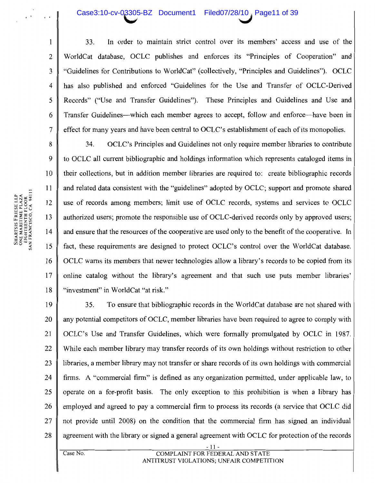### Case3:10-cv-03305-BZ Document1 Filed07/28/10, Page11 of 39

SHARTSIS FRIESE LLP<br>ONE MARITIME PLAZA<br>EIGHTEENTH FLOOR<br>SAN FRANCISCO, CA 94111

In order to maintain strict control over its members' access and use of the  $\mathbf{1}$ 33. WorldCat database, OCLC publishes and enforces its "Principles of Cooperation" and  $\overline{2}$ "Guidelines for Contributions to WorldCat" (collectively, "Principles and Guidelines"). OCLC  $\overline{3}$ has also published and enforced "Guidelines for the Use and Transfer of OCLC-Derived  $\overline{4}$ Records" ("Use and Transfer Guidelines"). These Principles and Guidelines and Use and 5 6 Transfer Guidelines—which each member agrees to accept, follow and enforce—have been in  $\overline{7}$ effect for many years and have been central to OCLC's establishment of each of its monopolies.

OCLC's Principles and Guidelines not only require member libraries to contribute 8 34.  $\mathbf Q$ to OCLC all current bibliographic and holdings information which represents cataloged items in  $10$ their collections, but in addition member libraries are required to: create bibliographic records  $11$ and related data consistent with the "guidelines" adopted by OCLC; support and promote shared use of records among members; limit use of OCLC records, systems and services to OCLC 12 authorized users; promote the responsible use of OCLC-derived records only by approved users; 13 14 and ensure that the resources of the cooperative are used only to the benefit of the cooperative. In 15 fact, these requirements are designed to protect OCLC's control over the WorldCat database. OCLC warns its members that newer technologies allow a library's records to be copied from its 16  $17$ online catalog without the library's agreement and that such use puts member libraries' "investment" in WorldCat "at risk." 18

19 35. To ensure that bibliographic records in the WorldCat database are not shared with 20 any potential competitors of OCLC, member libraries have been required to agree to comply with 21 OCLC's Use and Transfer Guidelines, which were formally promulgated by OCLC in 1987. While each member library may transfer records of its own holdings without restriction to other 22 libraries, a member library may not transfer or share records of its own holdings with commercial 23 firms. A "commercial firm" is defined as any organization permitted, under applicable law, to  $24$ operate on a for-profit basis. The only exception to this prohibition is when a library has 25 26 employed and agreed to pay a commercial firm to process its records (a service that OCLC did 27 not provide until 2008) on the condition that the commercial firm has signed an individual agreement with the library or signed a general agreement with OCLC for protection of the records 28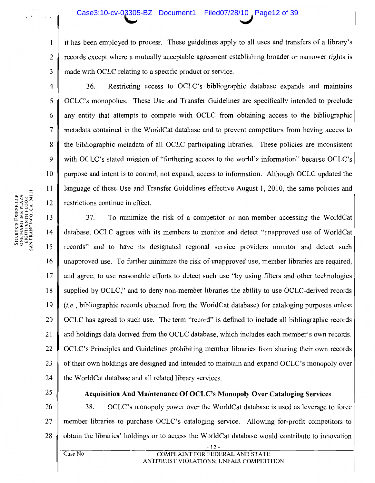### Case3:10-cv-03305-BZ Document1 Filed07/28/10 Page12 of 39

it has been employed to process. These guidelines apply to all uses and transfers of a library's records except where a mutually acceptable agreement establishing broader or narrower rights is made with OCLC relating to a specific product or service.

Restricting access to OCLC's bibliographic database expands and maintains 36. OCLC's monopolies. These Use and Transfer Guidelines are specifically intended to preclude any entity that attempts to compete with OCLC from obtaining access to the bibliographic metadata contained in the WorldCat database and to prevent competitors from having access to the bibliographic metadata of all OCLC participating libraries. These policies are inconsistent with OCLC's stated mission of "furthering access to the world's information" because OCLC's purpose and intent is to control, not expand, access to information. Although OCLC updated the language of these Use and Transfer Guidelines effective August 1, 2010, the same policies and restrictions continue in effect.

13 37. To minimize the risk of a competitor or non-member accessing the WorldCat database, OCLC agrees with its members to monitor and detect "unapproved use of WorldCat  $14$ 15 records" and to have its designated regional service providers monitor and detect such 16 unapproved use. To further minimize the risk of unapproved use, member libraries are required,  $17$ and agree, to use reasonable efforts to detect such use "by using filters and other technologies" 18 supplied by OCLC," and to deny non-member libraries the ability to use OCLC-derived records 19 *(i.e., bibliographic records obtained from the WorldCat database) for cataloging purposes unless* 20 OCLC has agreed to such use. The term "record" is defined to include all bibliographic records 21 and holdings data derived from the OCLC database, which includes each member's own records. 22 OCLC's Principles and Guidelines prohibiting member libraries from sharing their own records 23 of their own holdings are designed and intended to maintain and expand OCLC's monopoly over 24 the WorldCat database and all related library services.

25

### **Acquisition And Maintenance Of OCLC's Monopoly Over Cataloging Services**

26 38. OCLC's monopoly power over the WorldCat database is used as leverage to force 27 member libraries to purchase OCLC's cataloging service. Allowing for-profit competitors to 28 obtain the libraries' holdings or to access the WorldCat database would contribute to innovation

SHARTSIS FRIESE LLP<br>ONE MARITIME PLAZA<br>EIGHTEENTH FLOOR<br>SAN FRANCISCO, CA 94111

 $\mathbf{1}$ 

 $\overline{2}$ 

 $\overline{3}$ 

 $\overline{4}$ 

5

6

 $\overline{7}$ 

8

9

10

11

12

Case No.

**COMPLAINT FOR FEDERAL AND STATE** ANTITRUST VIOLATIONS; UNFAIR COMPETITION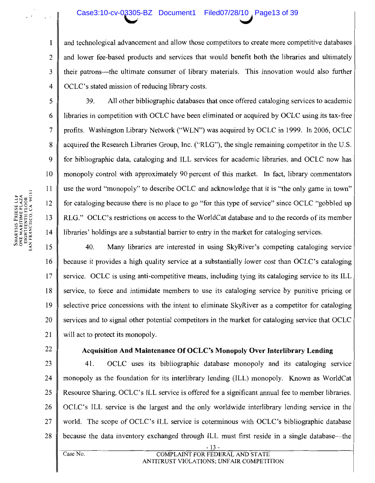### Case3:10-cv-03305-BZ Document1 Filed07/28/10, Page13 of 39

and technological advancement and allow those competitors to create more competitive databases and lower fee-based products and services that would benefit both the libraries and ultimately their patrons—the ultimate consumer of library materials. This innovation would also further OCLC's stated mission of reducing library costs.

39. All other bibliographic databases that once offered cataloging services to academic libraries in competition with OCLC have been eliminated or acquired by OCLC using its tax-free profits. Washington Library Network ("WLN") was acquired by OCLC in 1999. In 2006, OCLC acquired the Research Libraries Group, Inc. ("RLG"), the single remaining competitor in the U.S. for bibliographic data, cataloging and ILL services for academic libraries, and OCLC now has monopoly control with approximately 90 percent of this market. In fact, library commentators use the word "monopoly" to describe OCLC and acknowledge that it is "the only game in town" for cataloging because there is no place to go "for this type of service" since OCLC "gobbled up RLG." OCLC's restrictions on access to the WorldCat database and to the records of its member libraries' holdings are a substantial barrier to entry in the market for cataloging services.

40. 15 Many libraries are interested in using SkyRiver's competing cataloging service 16 because it provides a high quality service at a substantially lower cost than OCLC's cataloging 17 service. OCLC is using anti-competitive means, including tying its cataloging service to its ILL 18 service, to force and intimidate members to use its cataloging service by punitive pricing or 19 selective price concessions with the intent to eliminate SkyRiver as a competitor for cataloging 20 services and to signal other potential competitors in the market for cataloging service that OCLC 21 will act to protect its monopoly.

22

### Acquisition And Maintenance Of OCLC's Monopoly Over Interlibrary Lending

23 41. OCLC uses its bibliographic database monopoly and its cataloging service 24 monopoly as the foundation for its interlibrary lending (ILL) monopoly. Known as WorldCat 25 Resource Sharing, OCLC's ILL service is offered for a significant annual fee to member libraries. 26 OCLC's ILL service is the largest and the only worldwide interlibrary lending service in the 27 world. The scope of OCLC's ILL service is coterminous with OCLC's bibliographic database because the data inventory exchanged through ILL must first reside in a single database—the 28

Case No.

 $\mathbf{1}$ 

 $\overline{2}$ 

 $\overline{3}$ 

 $\overline{\mathbf{4}}$ 

5

6

 $7\phantom{.0}$ 

8

9

10

11

12

13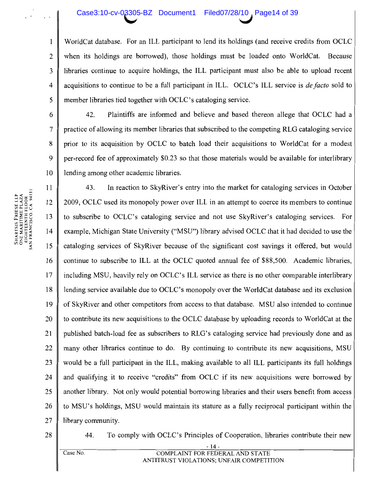#### Case3:10-cv-03305-BZ Document1 Filed07/28/10, Page14 of 39

WorldCat database. For an ILL participant to lend its holdings (and receive credits from OCLC) when its holdings are borrowed), those holdings must be loaded onto WorldCat. Because libraries continue to acquire holdings, the ILL participant must also be able to upload recent acquisitions to continue to be a full participant in ILL. OCLC's ILL service is *de facto* sold to member libraries tied together with OCLC's cataloging service.

Plaintiffs are informed and believe and based thereon allege that OCLC had a 42. practice of allowing its member libraries that subscribed to the competing RLG cataloging service prior to its acquisition by OCLC to batch load their acquisitions to WorldCat for a modest per-record fee of approximately \$0.23 so that those materials would be available for interlibrary lending among other academic libraries.

In reaction to SkyRiver's entry into the market for cataloging services in October 11 43. 12 2009, OCLC used its monopoly power over ILL in an attempt to coerce its members to continue 13 to subscribe to OCLC's cataloging service and not use SkyRiver's cataloging services. For 14 example, Michigan State University ("MSU") library advised OCLC that it had decided to use the cataloging services of SkyRiver because of the significant cost savings it offered, but would 15 continue to subscribe to ILL at the OCLC quoted annual fee of \$88,500. Academic libraries, 16 17 including MSU, heavily rely on OCLC's ILL service as there is no other comparable interlibrary 18 lending service available due to OCLC's monopoly over the WorldCat database and its exclusion 19 of SkyRiver and other competitors from access to that database. MSU also intended to continue 20 to contribute its new acquisitions to the OCLC database by uploading records to WorldCat at the published batch-load fee as subscribers to RLG's cataloging service had previously done and as 21 22 many other libraries continue to do. By continuing to contribute its new acquisitions, MSU 23 would be a full participant in the ILL, making available to all ILL participants its full holdings 24 and qualifying it to receive "credits" from OCLC if its new acquisitions were borrowed by 25 another library. Not only would potential borrowing libraries and their users benefit from access 26 to MSU's holdings, MSU would maintain its stature as a fully reciprocal participant within the 27 library community.

28

44. To comply with OCLC's Principles of Cooperation, libraries contribute their new

### COMPLAINT FOR FEDERAL AND STATE ANTITRUST VIOLATIONS; UNFAIR COMPETITION

SHARTSIS FRIESE LLP<br>ONE MARITIME PLAZA<br>EIGHTEENTH FLOOR<br>SAN FRANCISCO, CA 94111

 $\mathbf{1}$ 

 $\overline{2}$ 

 $\overline{3}$ 

 $\overline{4}$ 

5

6

 $\overline{7}$ 

8

9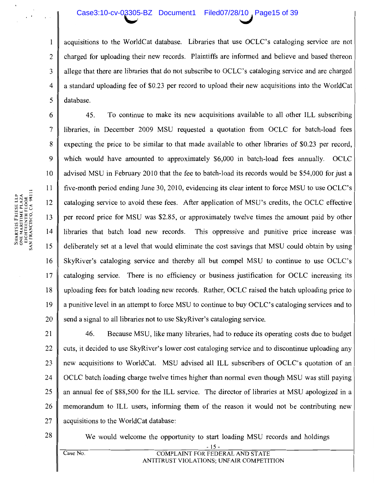### Case3:10-cv-03305-BZ Document1 Filed07/28/10, Page15 of 39

acquisitions to the WorldCat database. Libraries that use OCLC's cataloging service are not charged for uploading their new records. Plaintiffs are informed and believe and based thereon allege that there are libraries that do not subscribe to OCLC's cataloging service and are charged a standard uploading fee of \$0.23 per record to upload their new acquisitions into the WorldCat database.

45. To continue to make its new acquisitions available to all other ILL subscribing 6  $\overline{7}$ libraries, in December 2009 MSU requested a quotation from OCLC for batch-load fees 8 expecting the price to be similar to that made available to other libraries of \$0.23 per record,  $\mathbf Q$ which would have amounted to approximately \$6,000 in batch-load fees annually. OCLC 10 advised MSU in February 2010 that the fee to batch-load its records would be \$54,000 for just a 11 five-month period ending June 30, 2010, evidencing its clear intent to force MSU to use OCLC's 12 cataloging service to avoid these fees. After application of MSU's credits, the OCLC effective per record price for MSU was \$2.85, or approximately twelve times the amount paid by other 13  $14$ libraries that batch load new records. This oppressive and punitive price increase was 15 deliberately set at a level that would eliminate the cost savings that MSU could obtain by using 16 SkyRiver's cataloging service and thereby all but compel MSU to continue to use OCLC's 17 cataloging service. There is no efficiency or business justification for OCLC increasing its 18 uploading fees for batch loading new records. Rather, OCLC raised the batch uploading price to 19 a punitive level in an attempt to force MSU to continue to buy OCLC's cataloging services and to 20 send a signal to all libraries not to use SkyRiver's cataloging service.

21 46. Because MSU, like many libraries, had to reduce its operating costs due to budget 22 cuts, it decided to use SkyRiver's lower cost cataloging service and to discontinue uploading any 23 new acquisitions to WorldCat. MSU advised all ILL subscribers of OCLC's quotation of an 24 OCLC batch loading charge twelve times higher than normal even though MSU was still paying 25 an annual fee of \$88,500 for the ILL service. The director of libraries at MSU apologized in a 26 memorandum to ILL users, informing them of the reason it would not be contributing new 27 acquisitions to the WorldCat database:

28

We would welcome the opportunity to start loading MSU records and holdings  $-15-$ 

 $Case No.$ 

 $\mathbf{1}$ 

 $\overline{2}$ 

 $\overline{3}$ 

 $\overline{4}$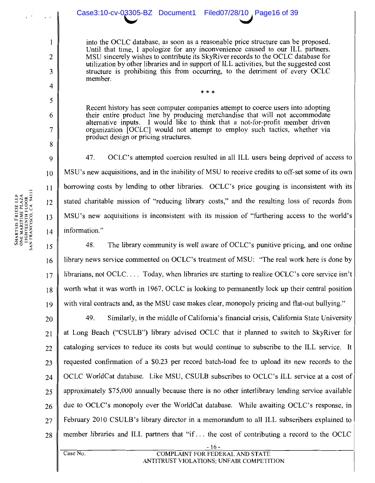### Case3:10-cv-03305-BZ Document1 Filed07/28/10, Page16 of 39

into the OCLC database, as soon as a reasonable price structure can be proposed. Until that time, I apologize for any inconvenience caused to our ILL partners. MSU sincerely wishes to contribute its SkyRiver records to the OCLC database for utilization by other libraries and in support of ILL activities, but the suggested cost structure is prohibiting this from occurring, to the detriment of every OCLC member.

Recent history has seen computer companies attempt to coerce users into adopting their entire product line by producing merchandise that will not accommodate alternative inputs. I would like to think that a not-for-profit member driven organization [OCLC] would not attempt to employ such tactics, whether via product design or pricing structures.

47. OCLC's attempted coercion resulted in all ILL users being deprived of access to MSU's new acquisitions, and in the inability of MSU to receive credits to off-set some of its own borrowing costs by lending to other libraries. OCLC's price gouging is inconsistent with its stated charitable mission of "reducing library costs," and the resulting loss of records from MSU's new acquisitions is inconsistent with its mission of "furthering access to the world's information."

48. The library community is well aware of OCLC's punitive pricing, and one online 15 library news service commented on OCLC's treatment of MSU: "The real work here is done by 16 librarians, not OCLC.... Today, when libraries are starting to realize OCLC's core service isn't 17 worth what it was worth in 1967, OCLC is looking to permanently lock up their central position 18 with viral contracts and, as the MSU case makes clear, monopoly pricing and flat-out bullying." 19

49. Similarly, in the middle of California's financial crisis, California State University 20 at Long Beach ("CSULB") library advised OCLC that it planned to switch to SkyRiver for 21 cataloging services to reduce its costs but would continue to subscribe to the ILL service. It 22 requested confirmation of a \$0.23 per record batch-load fee to upload its new records to the 23 OCLC WorldCat database. Like MSU, CSULB subscribes to OCLC's ILL service at a cost of 24 approximately \$75,000 annually because there is no other interlibrary lending service available 25 due to OCLC's monopoly over the WorldCat database. While awaiting OCLC's response, in 26 February 2010 CSULB's library director in a memorandum to all ILL subscribers explained to 27 member libraries and ILL partners that "if... the cost of contributing a record to the OCLC 28

 $\mathbf{1}$ 

 $\overline{2}$ 

3

 $\boldsymbol{A}$ 

5

6

7

8

9

10

11

12

13

 $14$ 

**COMPLAINT FOR FEDERAL AND STATE** ANTITRUST VIOLATIONS; UNFAIR COMPETITION

- 16 -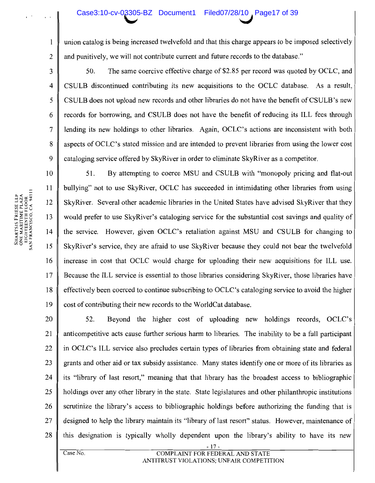### Case3:10-cv-03305-BZ Document1 Filed07/28/10, Page17 of 39

SHARTSIS FRIESE LLP<br>ONE MARITIME PLAZA<br>EIGHTEENTH FLOOR<br>SAN FRANCISCO, CA 94111

 $\mathbf{1}$ 

 $\overline{2}$ 

 $\overline{3}$ 

 $\overline{4}$ 

5

6

 $\overline{7}$ 

8

 $\mathbf Q$ 

11

union catalog is being increased twelvefold and that this charge appears to be imposed selectively and punitively, we will not contribute current and future records to the database."

50. The same coercive effective charge of \$2.85 per record was quoted by OCLC, and CSULB discontinued contributing its new acquisitions to the OCLC database. As a result, CSULB does not upload new records and other libraries do not have the benefit of CSULB's new records for borrowing, and CSULB does not have the benefit of reducing its ILL fees through lending its new holdings to other libraries. Again, OCLC's actions are inconsistent with both aspects of OCLC's stated mission and are intended to prevent libraries from using the lower cost cataloging service offered by SkyRiver in order to eliminate SkyRiver as a competitor.

10 51. By attempting to coerce MSU and CSULB with "monopoly pricing and flat-out" bullying" not to use SkyRiver, OCLC has succeeded in intimidating other libraries from using 12 SkyRiver. Several other academic libraries in the United States have advised SkyRiver that they 13 would prefer to use SkyRiver's cataloging service for the substantial cost savings and quality of 14 the service. However, given OCLC's retaliation against MSU and CSULB for changing to 15 SkyRiver's service, they are afraid to use SkyRiver because they could not bear the twelvefold 16 increase in cost that OCLC would charge for uploading their new acquisitions for ILL use. 17 Because the ILL service is essential to those libraries considering SkyRiver, those libraries have 18 effectively been coerced to continue subscribing to OCLC's cataloging service to avoid the higher 19 cost of contributing their new records to the WorldCat database.

20 52. Beyond the higher cost of uploading new holdings records, OCLC's 21 anticompetitive acts cause further serious harm to libraries. The inability to be a full participant 22 in OCLC's ILL service also precludes certain types of libraries from obtaining state and federal 23 grants and other aid or tax subsidy assistance. Many states identify one or more of its libraries as 24 its "library of last resort," meaning that that library has the broadest access to bibliographic 25 holdings over any other library in the state. State legislatures and other philanthropic institutions 26 scrutinize the library's access to bibliographic holdings before authorizing the funding that is designed to help the library maintain its "library of last resort" status. However, maintenance of 27 this designation is typically wholly dependent upon the library's ability to have its new 28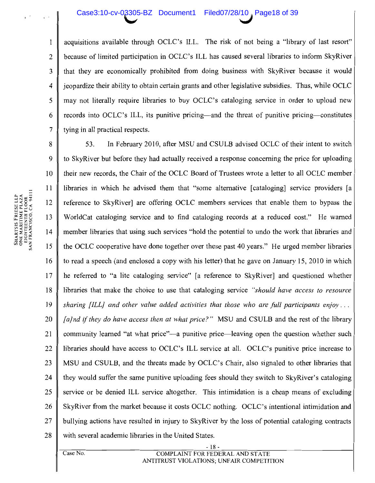### Case3:10-cv-03305-BZ Document1 Filed07/28/10, Page18 of 39

acquisitions available through OCLC's ILL. The risk of not being a "library of last resort" because of limited participation in OCLC's ILL has caused several libraries to inform SkyRiver that they are economically prohibited from doing business with SkyRiver because it would jeopardize their ability to obtain certain grants and other legislative subsidies. Thus, while OCLC may not literally require libraries to buy OCLC's cataloging service in order to upload new records into OCLC's ILL, its punitive pricing—and the threat of punitive pricing—constitutes tying in all practical respects.

8 53. In February 2010, after MSU and CSULB advised OCLC of their intent to switch 9 to SkyRiver but before they had actually received a response concerning the price for uploading 10 their new records, the Chair of the OCLC Board of Trustees wrote a letter to all OCLC member 11 libraries in which he advised them that "some alternative [cataloging] service providers [a 12 reference to SkyRiver] are offering OCLC members services that enable them to bypass the 13 WorldCat cataloging service and to find cataloging records at a reduced cost." He warned member libraries that using such services "hold the potential to undo the work that libraries and 14 15 the OCLC cooperative have done together over these past 40 years." He urged member libraries 16 to read a speech (and enclosed a copy with his letter) that he gave on January 15, 2010 in which he referred to "a lite cataloging service" [a reference to SkyRiver] and questioned whether  $17$ 18 libraries that make the choice to use that cataloging service "should have access to resource" 19 sharing  $[ILL]$  and other value added activities that those who are full participants enjoy... 20 [a]nd if they do have access then at what price?" MSU and CSULB and the rest of the library community learned "at what price"—a punitive price—leaving open the question whether such 21 22 libraries should have access to OCLC's ILL service at all. OCLC's punitive price increase to 23 MSU and CSULB, and the threats made by OCLC's Chair, also signaled to other libraries that 24 they would suffer the same punitive uploading fees should they switch to SkyRiver's cataloging service or be denied ILL service altogether. This intimidation is a cheap means of excluding 25 SkyRiver from the market because it costs OCLC nothing. OCLC's intentional intimidation and 26 27 bullying actions have resulted in injury to SkyRiver by the loss of potential cataloging contracts 28 with several academic libraries in the United States.

 $\mathbf{1}$ 

 $\overline{2}$ 

3

 $\overline{4}$ 

5

6

 $\overline{7}$ 

 $\overline{\text{Case No.}}$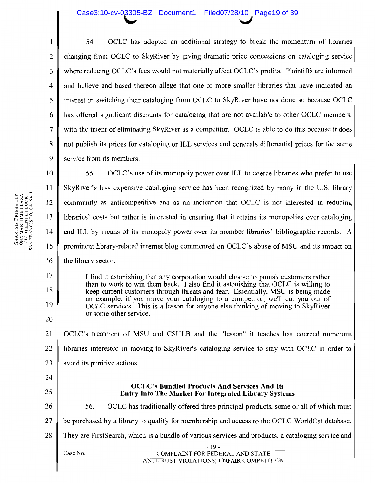### Case3:10-cv-03305-BZ Document1 Filed07/28/10 Page19 of 39

OCLC has adopted an additional strategy to break the momentum of libraries 54. changing from OCLC to SkyRiver by giving dramatic price concessions on cataloging service where reducing OCLC's fees would not materially affect OCLC's profits. Plaintiffs are informed and believe and based thereon allege that one or more smaller libraries that have indicated an interest in switching their cataloging from OCLC to SkyRiver have not done so because OCLC has offered significant discounts for cataloging that are not available to other OCLC members, with the intent of eliminating SkyRiver as a competitor. OCLC is able to do this because it does not publish its prices for cataloging or ILL services and conceals differential prices for the same service from its members.

SHARTSIS FRIESE LLP<br>ONE MARITIME PLAZA<br>EIGHTEENTH FLOOR<br>SAN FRANCISCO, CA 94111

 $\mathbf{1}$ 

 $\overline{2}$ 

3

 $\overline{\mathbf{4}}$ 

5

6

 $\overline{7}$ 

8

 $\mathbf Q$  $10$ 55. OCLC's use of its monopoly power over ILL to coerce libraries who prefer to use 11 SkyRiver's less expensive cataloging service has been recognized by many in the U.S. library community as anticompetitive and as an indication that OCLC is not interested in reducing 12 libraries' costs but rather is interested in ensuring that it retains its monopolies over cataloging 13  $14$ and ILL by means of its monopoly power over its member libraries' bibliographic records. A prominent library-related internet blog commented on OCLC's abuse of MSU and its impact on 15 16 the library sector:  $17$ I find it astonishing that any corporation would choose to punish customers rather than to work to win them back. I also find it astonishing that OCLC is willing to 18 keep current customers through threats and fear. Essentially, MSU is being made an example: if you move your cataloging to a competitor, we'll cut you out of 19 OCLC services. This is a lesson for anyone else thinking of moving to SkyRiver or some other service. 20 OCLC's treatment of MSU and CSULB and the "lesson" it teaches has coerced numerous 21 22 libraries interested in moving to SkyRiver's cataloging service to stay with OCLC in order to 23 avoid its punitive actions. 24 **OCLC's Bundled Products And Services And Its** 25 **Entry Into The Market For Integrated Library Systems** OCLC has traditionally offered three principal products, some or all of which must 26 56. 27 be purchased by a library to qualify for membership and access to the OCLC WorldCat database. They are First Search, which is a bundle of various services and products, a cataloging service and 28  $-19 \overline{\text{Case No}}$ . **COMPLAINT FOR FEDERAL AND STATE** ANTITRUST VIOLATIONS; UNFAIR COMPETITION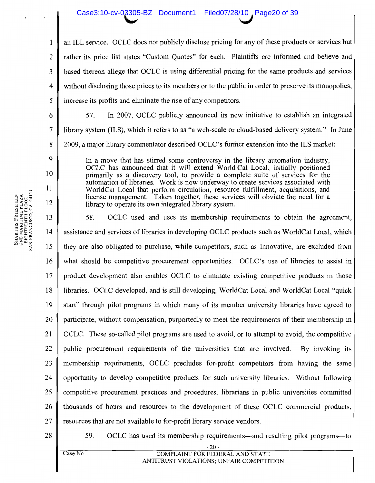### Case3:10-cv-03305-BZ Document1 Filed07/28/10, Page20 of 39

an ILL service. OCLC does not publicly disclose pricing for any of these products or services but rather its price list states "Custom Quotes" for each. Plaintiffs are informed and believe and based thereon allege that OCLC is using differential pricing for the same products and services  $\boldsymbol{4}$ without disclosing those prices to its members or to the public in order to preserve its monopolies, increase its profits and eliminate the rise of any competitors.

In 2007, OCLC publicly announced its new initiative to establish an integrated 6 57. library system (ILS), which it refers to as "a web-scale or cloud-based delivery system." In June 2009, a major library commentator described OCLC's further extension into the ILS market:

In a move that has stirred some controversy in the library automation industry, OCLC has announced that it will extend World Cat Local, initially positioned primarily as a discovery tool, to provide a complete suite of services for the automation of libraries. Work is now underway to create services associated with WorldCat Local that perform circulation, resource fulfillment, acquisitions, and license management. Taken together, these services will obviate the need for a library to operate its own integrated library system.

13 58. OCLC used and uses its membership requirements to obtain the agreement, 14 assistance and services of libraries in developing OCLC products such as WorldCat Local, which 15 they are also obligated to purchase, while competitors, such as Innovative, are excluded from 16 what should be competitive procurement opportunities. OCLC's use of libraries to assist in 17 product development also enables OCLC to eliminate existing competitive products in those 18 libraries. OCLC developed, and is still developing, WorldCat Local and WorldCat Local "quick" 19 start" through pilot programs in which many of its member university libraries have agreed to 20 participate, without compensation, purportedly to meet the requirements of their membership in 21 OCLC. These so-called pilot programs are used to avoid, or to attempt to avoid, the competitive 22 public procurement requirements of the universities that are involved. By invoking its 23 membership requirements, OCLC precludes for-profit competitors from having the same 24 opportunity to develop competitive products for such university libraries. Without following 25 competitive procurement practices and procedures, librarians in public universities committed 26 thousands of hours and resources to the development of these OCLC commercial products, 27 resources that are not available to for-profit library service vendors.

28

OCLC has used its membership requirements—and resulting pilot programs—to 59.

SHARTSIS FRIESE LLP<br>ONE MARITIME PLAZA<br>EIGHTEENTH FLOOR<br>SAN FRANCISCO. CA 94111

 $\mathbf{1}$ 

 $\overline{2}$ 

 $\overline{3}$ 

5

 $\overline{7}$ 

8

 $\mathbf Q$ 

10

11

12

 $\overline{\text{Case No.}}$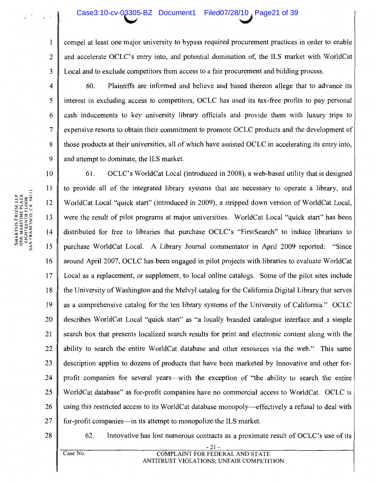### Case3:10-cv-03305-BZ Document1 Filed07/28/10, Page21 of 39

compel at least one major university to bypass required procurement practices in order to enable and accelerate OCLC's entry into, and potential domination of, the ILS market with WorldCat Local and to exclude competitors from access to a fair procurement and bidding process.

60. Plaintiffs are informed and believe and based thereon allege that to advance its interest in excluding access to competitors, OCLC has used its tax-free profits to pay personal cash inducements to key university library officials and provide them with luxury trips to expensive resorts to obtain their commitment to promote OCLC products and the development of those products at their universities, all of which have assisted OCLC in accelerating its entry into, and attempt to dominate, the ILS market.

10 61. OCLC's WorldCat Local (introduced in 2008), a web-based utility that is designed  $11$ to provide all of the integrated library systems that are necessary to operate a library, and 12 WorldCat Local "quick start" (introduced in 2009), a stripped down version of WorldCat Local, 13 were the result of pilot programs at major universities. WorldCat Local "quick start" has been distributed for free to libraries that purchase OCLC's "FirstSearch" to induce librarians to purchase WorldCat Local. A Library Journal commentator in April 2009 reported: "Since around April 2007, OCLC has been engaged in pilot projects with libraries to evaluate WorldCat  $17$ Local as a replacement, or supplement, to local online catalogs. Some of the pilot sites include 18 the University of Washington and the Melvyl catalog for the California Digital Library that serves 19 as a comprehensive catalog for the ten library systems of the University of California." OCLC 20 describes WorldCat Local "quick start" as "a locally branded catalogue interface and a simple 21 search box that presents localized search results for print and electronic content along with the 22 ability to search the entire WorldCat database and other resources via the web." This same 23 description applies to dozens of products that have been marketed by Innovative and other for-24 profit companies for several years—with the exception of "the ability to search the entire WorldCat database" as for-profit companies have no commercial access to WorldCat. OCLC is 25 using this restricted access to its WorldCat database monopoly—effectively a refusal to deal with 26 27 for-profit companies—in its attempt to monopolize the ILS market.

28

Innovative has lost numerous contracts as a proximate result of OCLC's use of its 62.

Case No.

**COMPLAINT FOR FEDERAL AND STATE** ANTITRUST VIOLATIONS; UNFAIR COMPETITION

SHARTSIS FRIESE LLP<br>ONE MARITIME PLAZA<br>EIGHTEENTH FLOOR<br>SAN FRANCISCO, CA 94111 14 15 16

 $\mathbf{1}$ 

 $\overline{2}$ 

 $\overline{3}$ 

 $\overline{4}$ 

5

6

 $\overline{7}$ 

8

 $\mathbf Q$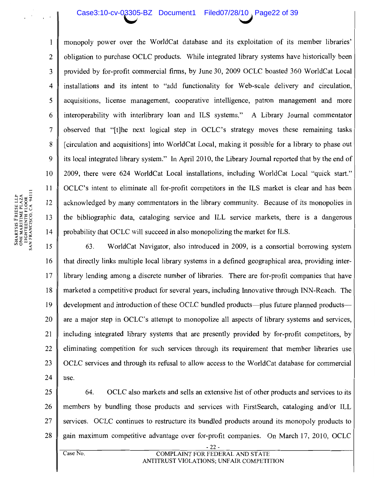#### Case3:10-cv-03305-BZ Document1 Filed07/28/10, Page22 of 39

monopoly power over the WorldCat database and its exploitation of its member libraries' obligation to purchase OCLC products. While integrated library systems have historically been provided by for-profit commercial firms, by June 30, 2009 OCLC boasted 360 WorldCat Local  $\overline{4}$ installations and its intent to "add functionality for Web-scale delivery and circulation, acquisitions, license management, cooperative intelligence, patron management and more interoperability with interlibrary loan and ILS systems." A Library Journal commentator 6 observed that "[t] he next logical step in OCLC's strategy moves these remaining tasks [circulation and acquisitions] into WorldCat Local, making it possible for a library to phase out its local integrated library system." In April 2010, the Library Journal reported that by the end of 2009, there were 624 WorldCat Local installations, including WorldCat Local "quick start." 10 OCLC's intent to eliminate all for-profit competitors in the ILS market is clear and has been acknowledged by many commentators in the library community. Because of its monopolies in the bibliographic data, cataloging service and ILL service markets, there is a dangerous probability that OCLC will succeed in also monopolizing the market for ILS.

15 63. WorldCat Navigator, also introduced in 2009, is a consortial borrowing system 16 that directly links multiple local library systems in a defined geographical area, providing inter-17 library lending among a discrete number of libraries. There are for-profit companies that have 18 marketed a competitive product for several years, including Innovative through INN-Reach. The 19 development and introduction of these OCLC bundled products—plus future planned products are a major step in OCLC's attempt to monopolize all aspects of library systems and services, 20 21 including integrated library systems that are presently provided by for-profit competitors, by 22 eliminating competition for such services through its requirement that member libraries use 23 OCLC services and through its refusal to allow access to the WorldCat database for commercial 24 use.

25 64. OCLC also markets and sells an extensive list of other products and services to its 26 members by bundling those products and services with FirstSearch, cataloging and/or ILL 27 services. OCLC continues to restructure its bundled products around its monopoly products to gain maximum competitive advantage over for-profit companies. On March 17, 2010, OCLC 28

 $\mathbf{1}$ 

 $\overline{2}$ 

3

5

 $\overline{7}$ 

8

 $\mathbf Q$ 

11

12

13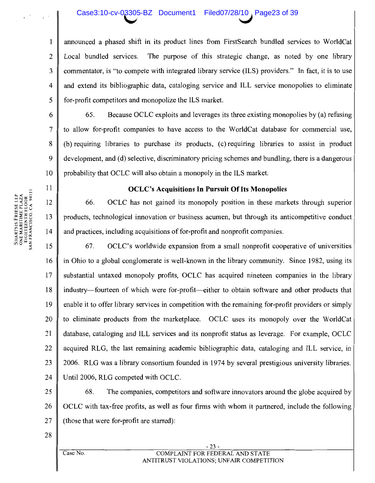### Case3:10-cv-03305-BZ Document1 Filed07/28/10, Page23 of 39

announced a phased shift in its product lines from FirstSearch bundled services to WorldCat The purpose of this strategic change, as noted by one library Local bundled services. commentator, is "to compete with integrated library service (ILS) providers." In fact, it is to use and extend its bibliographic data, cataloging service and ILL service monopolies to eliminate for-profit competitors and monopolize the ILS market.

Because OCLC exploits and leverages its three existing monopolies by (a) refusing 65. to allow for-profit companies to have access to the WorldCat database for commercial use, (b) requiring libraries to purchase its products, (c) requiring libraries to assist in product development, and (d) selective, discriminatory pricing schemes and bundling, there is a dangerous probability that OCLC will also obtain a monopoly in the ILS market.

### **OCLC's Acquisitions In Pursuit Of Its Monopolies**

OCLC has not gained its monopoly position in these markets through superior 66. products, technological innovation or business acumen, but through its anticompetitive conduct and practices, including acquisitions of for-profit and nonprofit companies.

67. OCLC's worldwide expansion from a small nonprofit cooperative of universities 15 in Ohio to a global conglomerate is well-known in the library community. Since 1982, using its 16 17 substantial untaxed monopoly profits, OCLC has acquired nineteen companies in the library industry—fourteen of which were for-profit—either to obtain software and other products that 18 19 enable it to offer library services in competition with the remaining for-profit providers or simply 20 to eliminate products from the marketplace. OCLC uses its monopoly over the WorldCat 21 database, cataloging and ILL services and its nonprofit status as leverage. For example, OCLC 22 acquired RLG, the last remaining academic bibliographic data, cataloging and ILL service, in 23 2006. RLG was a library consortium founded in 1974 by several prestigious university libraries. 24 Until 2006, RLG competed with OCLC.

25 The companies, competitors and software innovators around the globe acquired by 68. OCLC with tax-free profits, as well as four firms with whom it partnered, include the following 26 27 (those that were for-profit are starred):

28

 $\overline{\text{Case No}}$ 

 $-23-$ COMPLAINT FOR FEDERAL AND STATE ANTITRUST VIOLATIONS; UNFAIR COMPETITION

 $\mathbf{1}$ 

 $\overline{2}$ 

 $\mathfrak{Z}$ 

 $\overline{4}$ 

5

6

 $\overline{7}$ 

8

9

10

11

12

13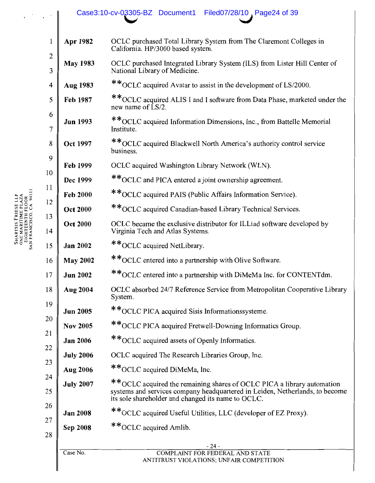## Case3:10-cv-03305-BZ Document1 Filed07/28/10, Page24 of 39

| Apr 1982         | OCLC purchased Total Library System from The Claremont Colleges in<br>California. HP/3000 based system.                                                                                                      |
|------------------|--------------------------------------------------------------------------------------------------------------------------------------------------------------------------------------------------------------|
| <b>May 1983</b>  | OCLC purchased Integrated Library System (ILS) from Lister Hill Center of<br>National Library of Medicine.                                                                                                   |
| Aug 1983         | **OCLC acquired Avatar to assist in the development of LS/2000.                                                                                                                                              |
| Feb 1987         | **OCLC acquired ALIS I and I software from Data Phase, marketed under the<br>new name of LS/2.                                                                                                               |
| <b>Jun 1993</b>  | **OCLC acquired Information Dimensions, Inc., from Battelle Memorial<br>Institute.                                                                                                                           |
| <b>Oct 1997</b>  | ** OCLC acquired Blackwell North America's authority control service<br>business.                                                                                                                            |
| Feb 1999         | OCLC acquired Washington Library Network (WLN).                                                                                                                                                              |
| Dec 1999         | **OCLC and PICA entered a joint ownership agreement.                                                                                                                                                         |
| <b>Feb 2000</b>  | **OCLC acquired PAIS (Public Affairs Information Service).                                                                                                                                                   |
| <b>Oct 2000</b>  | ** OCLC acquired Canadian-based Library Technical Services.                                                                                                                                                  |
| <b>Oct 2000</b>  | OCLC became the exclusive distributor for ILLiad software developed by<br>Virginia Tech and Atlas Systems.                                                                                                   |
| <b>Jan 2002</b>  | **OCLC acquired NetLibrary.                                                                                                                                                                                  |
| <b>May 2002</b>  | **OCLC entered into a partnership with Olive Software.                                                                                                                                                       |
| <b>Jun 2002</b>  | **OCLC entered into a partnership with DiMeMa Inc. for CONTENTdm.                                                                                                                                            |
| <b>Aug 2004</b>  | OCLC absorbed 24/7 Reference Service from Metropolitan Cooperative Library<br>System.                                                                                                                        |
| <b>Jun 2005</b>  | ** OCLC PICA acquired Sisis Informationssysteme.                                                                                                                                                             |
| <b>Nov 2005</b>  | **OCLC PICA acquired Fretwell-Downing Informatics Group.                                                                                                                                                     |
| <b>Jan 2006</b>  | **OCLC acquired assets of Openly Informatics.                                                                                                                                                                |
| <b>July 2006</b> | OCLC acquired The Research Libraries Group, Inc.                                                                                                                                                             |
| <b>Aug 2006</b>  | **OCLC acquired DiMeMa, Inc.                                                                                                                                                                                 |
| <b>July 2007</b> | **OCLC acquired the remaining shares of OCLC PICA a library automation<br>systems and services company headquartered in Leiden, Netherlands, to become<br>its sole shareholder and changed its name to OCLC. |
| <b>Jan 2008</b>  | **OCLC acquired Useful Utilities, LLC (developer of EZ Proxy).                                                                                                                                               |
| <b>Sep 2008</b>  | **OCLC acquired Amlib.                                                                                                                                                                                       |
| Case No.         | - 24 -<br><b>COMPLAINT FOR FEDERAL AND STATE</b>                                                                                                                                                             |

SHARTSIS FRIESE LLP<br>ONE MARITIME PLAZA<br>EIGHTEENTH FLOOR<br>SAN FRANCISCO, CA 94111

 $\mathcal{L}^{(0)}$  ,  $\mathcal{L}^{(0)}$ 

 $\begin{array}{c} \end{array}$ 

I

## ANTITRUST VIOLATIONS; UNFAIR COMPETITION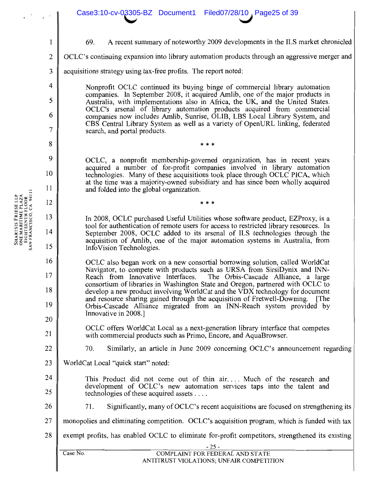|                | Case3:10-cv-03305-BZ Document1<br>Filed07/28/10, Page25 of 39                                                                                                                                                                                       |  |  |  |  |  |
|----------------|-----------------------------------------------------------------------------------------------------------------------------------------------------------------------------------------------------------------------------------------------------|--|--|--|--|--|
| $\mathbf{1}$   | A recent summary of noteworthy 2009 developments in the ILS market chronicled<br>69.                                                                                                                                                                |  |  |  |  |  |
| $\overline{2}$ | OCLC's continuing expansion into library automation products through an aggressive merger and                                                                                                                                                       |  |  |  |  |  |
|                |                                                                                                                                                                                                                                                     |  |  |  |  |  |
| 3              | acquisitions strategy using tax-free profits. The report noted:                                                                                                                                                                                     |  |  |  |  |  |
| 4              | Nonprofit OCLC continued its buying binge of commercial library automation<br>companies. In September 2008, it acquired Amlib, one of the major products in                                                                                         |  |  |  |  |  |
| 5              | Australia, with implementations also in Africa, the UK, and the United States.<br>OCLC's arsenal of library automation products acquired from commercial                                                                                            |  |  |  |  |  |
| 6<br>7         | companies now includes Amlib, Sunrise, OLIB, LBS Local Library System, and<br>CBS Central Library System as well as a variety of OpenURL linking, federated<br>search, and portal products.                                                         |  |  |  |  |  |
| 8              | * * *                                                                                                                                                                                                                                               |  |  |  |  |  |
| 9              | OCLC, a nonprofit membership-governed organization, has in recent years                                                                                                                                                                             |  |  |  |  |  |
| 10             | acquired a number of for-profit companies involved in library automation<br>technologies. Many of these acquisitions took place through OCLC PICA, which                                                                                            |  |  |  |  |  |
| 11             | at the time was a majority-owned subsidiary and has since been wholly acquired<br>and folded into the global organization.                                                                                                                          |  |  |  |  |  |
| 12             | * * *                                                                                                                                                                                                                                               |  |  |  |  |  |
| 13             | In 2008, OCLC purchased Useful Utilities whose software product, EZProxy, is a                                                                                                                                                                      |  |  |  |  |  |
| 14             | tool for authentication of remote users for access to restricted library resources. In<br>September 2008, OCLC added to its arsenal of ILS technologies through the<br>acquisition of Amlib, one of the major automation systems in Australia, from |  |  |  |  |  |
| 15             | InfoVision Technologies.                                                                                                                                                                                                                            |  |  |  |  |  |
| 16             | OCLC also began work on a new consortial borrowing solution, called WorldCat<br>Navigator, to compete with products such as URSA from SirsiDynix and INN-                                                                                           |  |  |  |  |  |
| 17             | Reach from Innovative Interfaces.<br>The Orbis-Cascade Alliance, a large<br>consortium of libraries in Washington State and Oregon, partnered with OCLC to                                                                                          |  |  |  |  |  |
| 18             | develop a new product involving WorldCat and the VDX technology for document<br>and resource sharing gained through the acquisition of Fretwell-Downing. [The                                                                                       |  |  |  |  |  |
| 19             | Orbis-Cascade Alliance migrated from an INN-Reach system provided by                                                                                                                                                                                |  |  |  |  |  |
| 20             | Innovative in 2008.]                                                                                                                                                                                                                                |  |  |  |  |  |
| 21             | OCLC offers WorldCat Local as a next-generation library interface that competes<br>with commercial products such as Primo, Encore, and AquaBrowser.                                                                                                 |  |  |  |  |  |
| 22             | Similarly, an article in June 2009 concerning OCLC's announcement regarding<br>70.                                                                                                                                                                  |  |  |  |  |  |
| 23             | WorldCat Local "quick start" noted:                                                                                                                                                                                                                 |  |  |  |  |  |
| 24             | This Product did not come out of thin air Much of the research and                                                                                                                                                                                  |  |  |  |  |  |
| 25             | development of OCLC's new automation services taps into the talent and<br>technologies of these acquired assets $\dots$                                                                                                                             |  |  |  |  |  |
| 26             | Significantly, many of OCLC's recent acquisitions are focused on strengthening its<br>71.                                                                                                                                                           |  |  |  |  |  |
| 27             | monopolies and eliminating competition. OCLC's acquisition program, which is funded with tax                                                                                                                                                        |  |  |  |  |  |
| 28             | exempt profits, has enabled OCLC to eliminate for-profit competitors, strengthened its existing                                                                                                                                                     |  |  |  |  |  |
|                | $-25-$<br>Case No.<br><b>COMPLAINT FOR FEDERAL AND STATE</b>                                                                                                                                                                                        |  |  |  |  |  |
|                | ANTITRUST VIOLATIONS; UNFAIR COMPETITION                                                                                                                                                                                                            |  |  |  |  |  |

 $\mathcal{L}^{(1)}$ 

SHARTSIS FRIESE LLP<br>ONE MARITIME PLAZA<br>EIGHTEENTH FLOOR<br>SAN FRANCISCO, CA 94111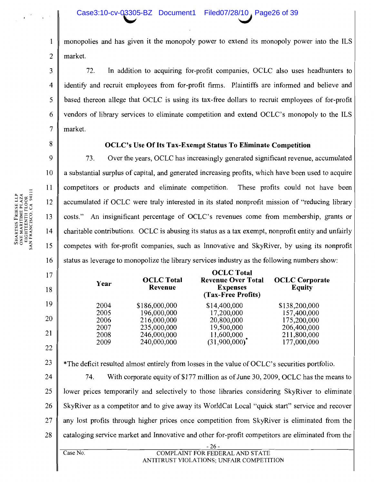monopolies and has given it the monopoly power to extend its monopoly power into the ILS  $\mathbf{1}$  $\overline{2}$ market.

72. In addition to acquiring for-profit companies, OCLC also uses headhunters to identify and recruit employees from for-profit firms. Plaintiffs are informed and believe and based thereon allege that OCLC is using its tax-free dollars to recruit employees of for-profit vendors of library services to eliminate competition and extend OCLC's monopoly to the ILS market.

8

17

18

19

20

21

22

 $\overline{3}$ 

 $\overline{4}$ 

5

6

 $\overline{7}$ 

### **OCLC's Use Of Its Tax-Exempt Status To Eliminate Competition**

9 73. Over the years, OCLC has increasingly generated significant revenue, accumulated 10 a substantial surplus of capital, and generated increasing profits, which have been used to acquire 11 competitors or products and eliminate competition. These profits could not have been 12 accumulated if OCLC were truly interested in its stated nonprofit mission of "reducing library 13 costs." An insignificant percentage of OCLC's revenues come from membership, grants or 14 charitable contributions. OCLC is abusing its status as a tax exempt, nonprofit entity and unfairly competes with for-profit companies, such as Innovative and SkyRiver, by using its nonprofit 15 16 status as leverage to monopolize the library services industry as the following numbers show:

| Year | <b>OCLC</b> Total<br>Revenue | <b>OCLC</b> Total<br><b>Revenue Over Total</b><br><b>Expenses</b><br>(Tax-Free Profits) | <b>OCLC</b> Corporate<br><b>Equity</b> |
|------|------------------------------|-----------------------------------------------------------------------------------------|----------------------------------------|
| 2004 | \$186,000,000                | \$14,400,000                                                                            | \$138,200,000                          |
| 2005 | 196,000,000                  | 17,200,000                                                                              | 157,400,000                            |
| 2006 | 216,000,000                  | 20,800,000                                                                              | 175,200,000                            |
| 2007 | 235,000,000                  | 19,500,000                                                                              | 206,400,000                            |
| 2008 | 246,000,000                  | 11,600,000                                                                              | 211,800,000                            |
| 2009 | 240,000,000                  | (31,900,000)                                                                            | 177,000,000                            |
|      |                              |                                                                                         |                                        |

23 \*The deficit resulted almost entirely from losses in the value of OCLC's securities portfolio.

24 74. With corporate equity of \$177 million as of June 30, 2009, OCLC has the means to 25 lower prices temporarily and selectively to those libraries considering SkyRiver to eliminate 26 SkyRiver as a competitor and to give away its WorldCat Local "quick start" service and recover 27 any lost profits through higher prices once competition from SkyRiver is eliminated from the 28 cataloging service market and Innovative and other for-profit competitors are eliminated from the

Case No.

### **COMPLAINT FOR FEDERAL AND STATE** ANTITRUST VIOLATIONS; UNFAIR COMPETITION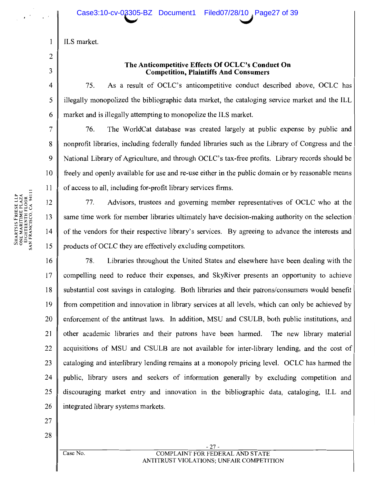ILS market.

# 3  $\overline{4}$

5

6

 $\overline{7}$ 

8

 $\mathbf{Q}$ 

10

11

 $\mathbf{1}$ 

 $\overline{2}$ 

### The Anticompetitive Effects Of OCLC's Conduct On **Competition, Plaintiffs And Consumers**

75. As a result of OCLC's anticompetitive conduct described above, OCLC has illegally monopolized the bibliographic data market, the cataloging service market and the ILL market and is illegally attempting to monopolize the ILS market.

76. The WorldCat database was created largely at public expense by public and nonprofit libraries, including federally funded libraries such as the Library of Congress and the National Library of Agriculture, and through OCLC's tax-free profits. Library records should be freely and openly available for use and re-use either in the public domain or by reasonable means of access to all, including for-profit library services firms.

12 Advisors, trustees and governing member representatives of OCLC who at the 77. same time work for member libraries ultimately have decision-making authority on the selection 13  $14$ of the vendors for their respective library's services. By agreeing to advance the interests and 15 products of OCLC they are effectively excluding competitors.

78. Libraries throughout the United States and elsewhere have been dealing with the 16 17 compelling need to reduce their expenses, and SkyRiver presents an opportunity to achieve 18 substantial cost savings in cataloging. Both libraries and their patrons/consumers would benefit 19 from competition and innovation in library services at all levels, which can only be achieved by 20 enforcement of the antitrust laws. In addition, MSU and CSULB, both public institutions, and 21 other academic libraries and their patrons have been harmed. The new library material 22 acquisitions of MSU and CSULB are not available for inter-library lending, and the cost of 23 cataloging and interlibrary lending remains at a monopoly pricing level. OCLC has harmed the public, library users and seekers of information generally by excluding competition and  $24$ 25 discouraging market entry and innovation in the bibliographic data, cataloging, ILL and 26 integrated library systems markets.

27

28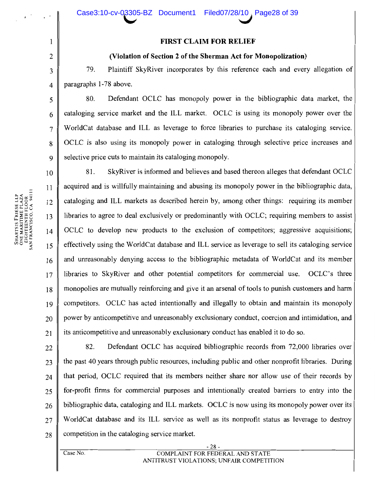### **FIRST CLAIM FOR RELIEF**

### (Violation of Section 2 of the Sherman Act for Monopolization)

79. Plaintiff SkyRiver incorporates by this reference each and every allegation of paragraphs 1-78 above.

Defendant OCLC has monopoly power in the bibliographic data market, the 80. cataloging service market and the ILL market. OCLC is using its monopoly power over the WorldCat database and ILL as leverage to force libraries to purchase its cataloging service. OCLC is also using its monopoly power in cataloging through selective price increases and selective price cuts to maintain its cataloging monopoly.

SkyRiver is informed and believes and based thereon alleges that defendant OCLC 81.  $10$ acquired and is willfully maintaining and abusing its monopoly power in the bibliographic data,  $11$ cataloging and ILL markets as described herein by, among other things: requiring its member  $12$ libraries to agree to deal exclusively or predominantly with OCLC; requiring members to assist  $13$ OCLC to develop new products to the exclusion of competitors; aggressive acquisitions;  $14$ effectively using the WorldCat database and ILL service as leverage to sell its cataloging service 15 and unreasonably denying access to the bibliographic metadata of WorldCat and its member 16 libraries to SkyRiver and other potential competitors for commercial use. OCLC's three  $17$ monopolies are mutually reinforcing and give it an arsenal of tools to punish customers and harm 18 competitors. OCLC has acted intentionally and illegally to obtain and maintain its monopoly 19 power by anticompetitive and unreasonably exclusionary conduct, coercion and intimidation, and 20 its anticompetitive and unreasonably exclusionary conduct has enabled it to do so. 21

Defendant OCLC has acquired bibliographic records from 72,000 libraries over 82. 22 the past 40 years through public resources, including public and other nonprofit libraries. During 23 that period, OCLC required that its members neither share nor allow use of their records by 24 for-profit firms for commercial purposes and intentionally created barriers to entry into the 25 bibliographic data, cataloging and ILL markets. OCLC is now using its monopoly power over its 26 WorldCat database and its ILL service as well as its nonprofit status as leverage to destroy 27 competition in the cataloging service market. 28

 $\mathbf{1}$ 

 $\overline{2}$ 

3

 $\overline{4}$ 

5

6

 $\overline{7}$ 

8

 $\mathbf Q$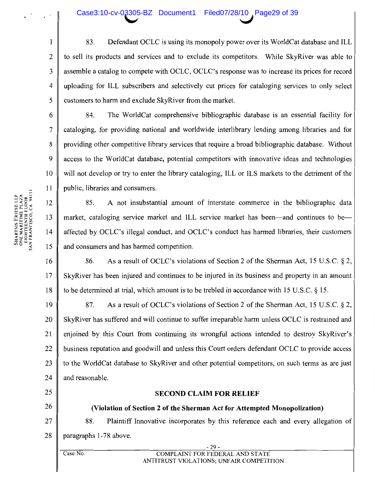### Case3:10-cv-03305-BZ Document1 Filed07/28/10 Page29 of 39

83. Defendant OCLC is using its monopoly power over its WorldCat database and ILL to sell its products and services and to exclude its competitors. While SkyRiver was able to assemble a catalog to compete with OCLC, OCLC's response was to increase its prices for record uploading for ILL subscribers and selectively cut prices for cataloging services to only select customers to harm and exclude SkyRiver from the market.

84. The WorldCat comprehensive bibliographic database is an essential facility for cataloging, for providing national and worldwide interlibrary lending among libraries and for providing other competitive library services that require a broad bibliographic database. Without access to the WorldCat database, potential competitors with innovative ideas and technologies will not develop or try to enter the library cataloging, ILL or ILS markets to the detriment of the public, libraries and consumers.

A not insubstantial amount of interstate commerce in the bibliographic data 85. market, cataloging service market and ILL service market has been—and continues to be affected by OCLC's illegal conduct, and OCLC's conduct has harmed libraries, their customers and consumers and has harmed competition.

As a result of OCLC's violations of Section 2 of the Sherman Act, 15 U.S.C. § 2, 16 86. SkyRiver has been injured and continues to be injured in its business and property in an amount 17 to be determined at trial, which amount is to be trebled in accordance with 15 U.S.C. § 15. 18

19 87. As a result of OCLC's violations of Section 2 of the Sherman Act, 15 U.S.C. § 2, SkyRiver has suffered and will continue to suffer irreparable harm unless OCLC is restrained and 20 enjoined by this Court from continuing its wrongful actions intended to destroy SkyRiver's 21 business reputation and goodwill and unless this Court orders defendant OCLC to provide access 22  $23$ to the WorldCat database to SkyRiver and other potential competitors, on such terms as are just 24 and reasonable.

25

## 26

- 27
	- 88. Plaintiff Innovative incorporates by this reference each and every allegation of

**SECOND CLAIM FOR RELIEF** 

(Violation of Section 2 of the Sherman Act for Attempted Monopolization)

28 paragraphs 1-78 above.

Case No.

### $-29-$ COMPLAINT FOR FEDERAL AND STATE ANTITRUST VIOLATIONS; UNFAIR COMPETITION

 $\mathbf{1}$ 

 $\overline{2}$ 

 $\overline{\mathbf{3}}$ 

 $\overline{4}$ 

5

6

 $\overline{7}$ 

8

 $\mathbf Q$ 

10

11

12

13

 $14$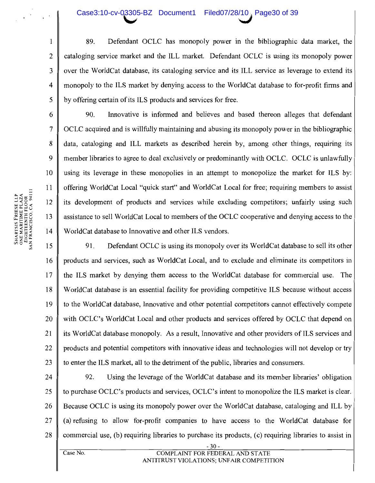### Case3:10-cv-03305-BZ Document1 Filed07/28/10, Page30 of 39

89. Defendant OCLC has monopoly power in the bibliographic data market, the cataloging service market and the ILL market. Defendant OCLC is using its monopoly power over the WorldCat database, its cataloging service and its ILL service as leverage to extend its monopoly to the ILS market by denying access to the WorldCat database to for-profit firms and by offering certain of its ILS products and services for free.

90. Innovative is informed and believes and based thereon alleges that defendant OCLC acquired and is willfully maintaining and abusing its monopoly power in the bibliographic data, cataloging and ILL markets as described herein by, among other things, requiring its member libraries to agree to deal exclusively or predominantly with OCLC. OCLC is unlawfully using its leverage in these monopolies in an attempt to monopolize the market for ILS by: offering WorldCat Local "quick start" and WorldCat Local for free; requiring members to assist its development of products and services while excluding competitors; unfairly using such assistance to sell WorldCat Local to members of the OCLC cooperative and denying access to the WorldCat database to Innovative and other ILS vendors.

91. Defendant OCLC is using its monopoly over its WorldCat database to sell its other 15 products and services, such as WorldCat Local, and to exclude and eliminate its competitors in 16 17 the ILS market by denying them access to the WorldCat database for commercial use. The 18 WorldCat database is an essential facility for providing competitive ILS because without access 19 to the WorldCat database, Innovative and other potential competitors cannot effectively compete 20 with OCLC's WorldCat Local and other products and services offered by OCLC that depend on its WorldCat database monopoly. As a result, Innovative and other providers of ILS services and 21 22 products and potential competitors with innovative ideas and technologies will not develop or try 23 to enter the ILS market, all to the detriment of the public, libraries and consumers.

24 92. Using the leverage of the WorldCat database and its member libraries' obligation 25 to purchase OCLC's products and services, OCLC's intent to monopolize the ILS market is clear. 26 Because OCLC is using its monopoly power over the WorldCat database, cataloging and ILL by 27 (a) refusing to allow for-profit companies to have access to the WorldCat database for 28 commercial use, (b) requiring libraries to purchase its products, (c) requiring libraries to assist in

SHARTSIS FRIESE LLP<br>ONE MARITIME PLAZA<br>EIGHTEENTH FLOOR<br>SAN FRANCISCO, CA 94111

 $\mathbf{1}$ 

 $\overline{2}$ 

 $\overline{3}$ 

 $\overline{4}$ 

5

6

 $\overline{7}$ 

8

9

 $10<sup>1</sup>$ 

11

12

13

14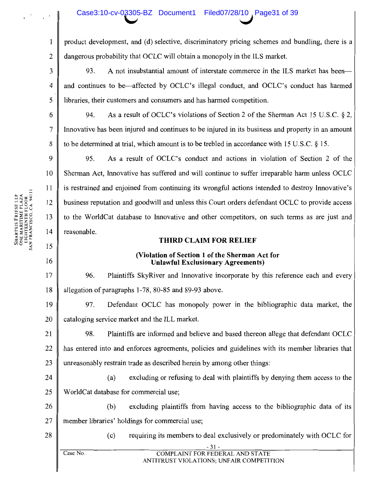## Case3:10-cv-03305-BZ Document1 Filed07/28/10, Page31 of 39

product development, and (d) selective, discriminatory pricing schemes and bundling, there is a dangerous probability that OCLC will obtain a monopoly in the ILS market.

93. A not insubstantial amount of interstate commerce in the ILS market has been- $\overline{3}$ and continues to be—affected by OCLC's illegal conduct, and OCLC's conduct has harmed  $\overline{\mathbf{4}}$ 5 libraries, their customers and consumers and has harmed competition.

As a result of OCLC's violations of Section 2 of the Sherman Act 15 U.S.C. § 2, 94. Innovative has been injured and continues to be injured in its business and property in an amount to be determined at trial, which amount is to be trebled in accordance with 15 U.S.C. § 15.

9 95. As a result of OCLC's conduct and actions in violation of Section 2 of the Sherman Act. Innovative has suffered and will continue to suffer irreparable harm unless OCLC 10 is restrained and enjoined from continuing its wrongful actions intended to destroy Innovative's business reputation and goodwill and unless this Court orders defendant OCLC to provide access 12 to the WorldCat database to Innovative and other competitors, on such terms as are just and 13 14 reasonable.

### **THIRD CLAIM FOR RELIEF**

### (Violation of Section 1 of the Sherman Act for **Unlawful Exclusionary Agreements)**

96. Plaintiffs SkyRiver and Innovative incorporate by this reference each and every allegation of paragraphs 1-78, 80-85 and 89-93 above.

Defendant OCLC has monopoly power in the bibliographic data market, the 19 97. 20 cataloging service market and the ILL market.

98. Plaintiffs are informed and believe and based thereon allege that defendant OCLC 21 has entered into and enforces agreements, policies and guidelines with its member libraries that 22 unreasonably restrain trade as described herein by among other things: 23

excluding or refusing to deal with plaintiffs by denying them access to the 24 (a) WorldCat database for commercial use; 25

excluding plaintiffs from having access to the bibliographic data of its 26  $(b)$ 27 member libraries' holdings for commercial use;

28

requiring its members to deal exclusively or predominately with OCLC for  $(c)$ 

ANTITRUST VIOLATIONS; UNFAIR COMPETITION

 $\mathbf{1}$ 

 $\overline{2}$ 

6

 $\overline{7}$ 

 $\mathbf{8}$ 

11

15

16

17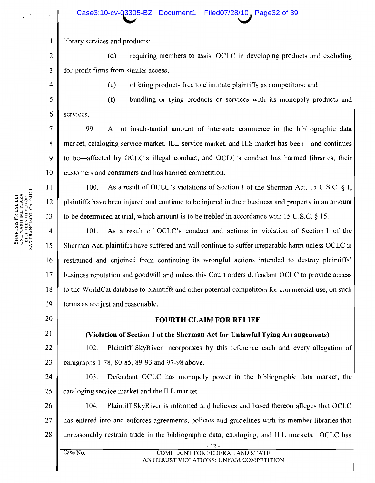Case3:10-cv-03305-BZ Document1

library services and products;

 $\overline{2}$ requiring members to assist OCLC in developing products and excluding  $(d)$  $\overline{3}$ for-profit firms from similar access;

 $\overline{4}$ 

5

6

 $\overline{7}$ 

8

9

10

 $11$ 

12

13

 $\mathbf{1}$ 

 $(e)$ offering products free to eliminate plaintiffs as competitors; and

 $(f)$ bundling or tying products or services with its monopoly products and services.

99. A not insubstantial amount of interstate commerce in the bibliographic data market, cataloging service market, ILL service market, and ILS market has been—and continues to be—affected by OCLC's illegal conduct, and OCLC's conduct has harmed libraries, their customers and consumers and has harmed competition.

As a result of OCLC's violations of Section 1 of the Sherman Act, 15 U.S.C.  $\S$  1,  $100.$ plaintiffs have been injured and continue to be injured in their business and property in an amount to be determined at trial, which amount is to be trebled in accordance with 15 U.S.C. § 15.

 $14$ 101. As a result of OCLC's conduct and actions in violation of Section 1 of the 15 Sherman Act, plaintiffs have suffered and will continue to suffer irreparable harm unless OCLC is restrained and enjoined from continuing its wrongful actions intended to destroy plaintiffs' 16 17 business reputation and goodwill and unless this Court orders defendant OCLC to provide access 18 to the WorldCat database to plaintiffs and other potential competitors for commercial use, on such 19 terms as are just and reasonable.

20

21

### **FOURTH CLAIM FOR RELIEF**

(Violation of Section 1 of the Sherman Act for Unlawful Tying Arrangements)

22 102. Plaintiff SkyRiver incorporates by this reference each and every allegation of 23 paragraphs 1-78, 80-85, 89-93 and 97-98 above.

Defendant OCLC has monopoly power in the bibliographic data market, the 24 103. 25 cataloging service market and the ILL market.

26 104. Plaintiff SkyRiver is informed and believes and based thereon alleges that OCLC 27 has entered into and enforces agreements, policies and guidelines with its member libraries that unreasonably restrain trade in the bibliographic data, cataloging, and ILL markets. OCLC has 28

Case No.

### COMPLAINT FOR FEDERAL AND STATE ANTITRUST VIOLATIONS; UNFAIR COMPETITION

SHARTSIS FRIESE LLP<br>ONE MARITIME PLAZA<br>EIGHTEENTH FLOOR<br>SAN FRANCISCO, CA 94111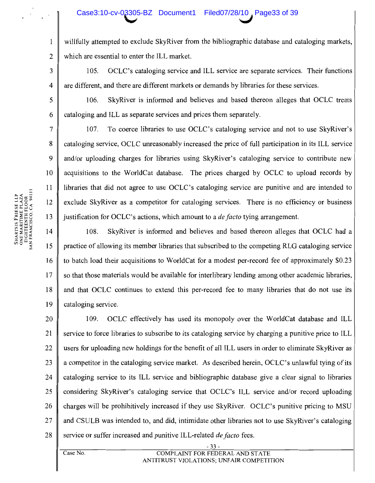### Case3:10-cv-03305-BZ Document1 Filed07/28/10, Page33 of 39

willfully attempted to exclude SkyRiver from the bibliographic database and cataloging markets, which are essential to enter the ILL market.

OCLC's cataloging service and ILL service are separate services. Their functions 105. are different, and there are different markets or demands by libraries for these services.

SkyRiver is informed and believes and based thereon alleges that OCLC treats 106. cataloging and ILL as separate services and prices them separately.

To coerce libraries to use OCLC's cataloging service and not to use SkyRiver's 107. cataloging service, OCLC unreasonably increased the price of full participation in its ILL service and/or uploading charges for libraries using SkyRiver's cataloging service to contribute new acquisitions to the WorldCat database. The prices charged by OCLC to upload records by libraries that did not agree to use OCLC's cataloging service are punitive and are intended to exclude SkyRiver as a competitor for cataloging services. There is no efficiency or business justification for OCLC's actions, which amount to a *de facto* tying arrangement.

14 108. SkyRiver is informed and believes and based thereon alleges that OCLC had a practice of allowing its member libraries that subscribed to the competing RLG cataloging service 15 16 to batch load their acquisitions to WorldCat for a modest per-record fee of approximately \$0.23 17 so that those materials would be available for interlibrary lending among other academic libraries, and that OCLC continues to extend this per-record fee to many libraries that do not use its 18 19 cataloging service.

20 OCLC effectively has used its monopoly over the WorldCat database and ILL 109. 21 service to force libraries to subscribe to its cataloging service by charging a punitive price to ILL 22 users for uploading new holdings for the benefit of all ILL users in order to eliminate SkyRiver as 23 a competitor in the cataloging service market. As described herein, OCLC's unlawful tying of its 24 cataloging service to its ILL service and bibliographic database give a clear signal to libraries 25 considering SkyRiver's cataloging service that OCLC's ILL service and/or record uploading 26 charges will be prohibitively increased if they use SkyRiver. OCLC's punitive pricing to MSU 27 and CSULB was intended to, and did, intimidate other libraries not to use SkyRiver's cataloging 28 service or suffer increased and punitive ILL-related *de facto* fees.

 $\mathbf{1}$ 

 $\overline{2}$ 

3

 $\overline{4}$ 

5

6

 $\tau$ 

8

9

10

11

12

13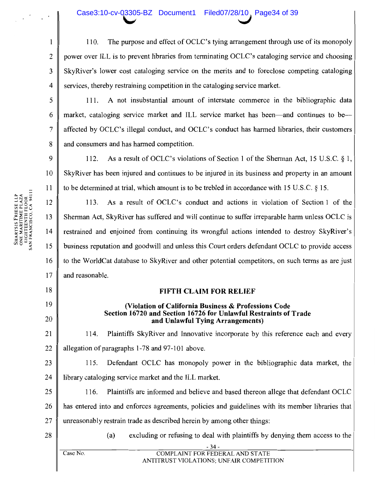The purpose and effect of OCLC's tying arrangement through use of its monopoly 110. power over ILL is to prevent libraries from terminating OCLC's cataloging service and choosing SkyRiver's lower cost cataloging service on the merits and to foreclose competing cataloging  $\overline{4}$ services, thereby restraining competition in the cataloging service market.

111. A not insubstantial amount of interstate commerce in the bibliographic data market, cataloging service market and ILL service market has been—and continues to beaffected by OCLC's illegal conduct, and OCLC's conduct has harmed libraries, their customers and consumers and has harmed competition.

 $\boldsymbol{Q}$ 112. As a result of OCLC's violations of Section 1 of the Sherman Act, 15 U.S.C. § 1, 10 SkyRiver has been injured and continues to be injured in its business and property in an amount 11 to be determined at trial, which amount is to be trebled in accordance with 15 U.S.C. § 15.

12 As a result of OCLC's conduct and actions in violation of Section 1 of the 113. 13 Sherman Act, SkyRiver has suffered and will continue to suffer irreparable harm unless OCLC is  $14$ restrained and enjoined from continuing its wrongful actions intended to destroy SkyRiver's business reputation and goodwill and unless this Court orders defendant OCLC to provide access to the WorldCat database to SkyRiver and other potential competitors, on such terms as are just and reasonable.

### **FIFTH CLAIM FOR RELIEF**

### (Violation of California Business & Professions Code Section 16720 and Section 16726 for Unlawful Restraints of Trade and Unlawful Tving Arrangements)

21 Plaintiffs SkyRiver and Innovative incorporate by this reference each and every 114. 22 allegation of paragraphs 1-78 and 97-101 above.

23 115. Defendant OCLC has monopoly power in the bibliographic data market, the  $24$ library cataloging service market and the ILL market.

Plaintiffs are informed and believe and based thereon allege that defendant OCLC 25 116. 26 has entered into and enforces agreements, policies and guidelines with its member libraries that 27 unreasonably restrain trade as described herein by among other things:

28

 $(a)$ excluding or refusing to deal with plaintiffs by denying them access to the

ANTITRUST VIOLATIONS: UNFAIR COMPETITION

18

19

20

 $\mathbf{1}$ 

 $\overline{2}$ 

 $\overline{3}$ 

5

6

 $\overline{7}$ 

8

SHARTSIS FRIESE LLP<br>ONE MARITIME PLAZA<br>EIGHTEENTH FLOOR<br>SAN FRANCISCO, CA 94111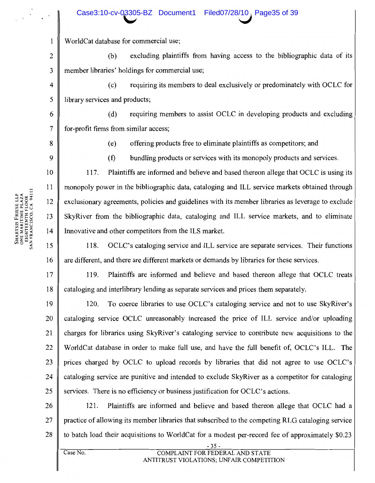### Case3:10-cv-03305-BZ Document1 Filed07/28/10, Page35 of 39

WorldCat database for commercial use;

 $\overline{2}$ excluding plaintiffs from having access to the bibliographic data of its  $(b)$ 3 member libraries' holdings for commercial use;

 $(c)$ requiring its members to deal exclusively or predominately with OCLC for library services and products;

requiring members to assist OCLC in developing products and excluding  $(d)$ for-profit firms from similar access;

8

 $\mathbf{1}$ 

 $\overline{4}$ 

5

6

 $\overline{7}$ 

9

10

11

12

13

14

15

16

17

18

offering products free to eliminate plaintiffs as competitors; and  $(e)$ 

 $(f)$ bundling products or services with its monopoly products and services.

117. Plaintiffs are informed and believe and based thereon allege that OCLC is using its monopoly power in the bibliographic data, cataloging and ILL service markets obtained through exclusionary agreements, policies and guidelines with its member libraries as leverage to exclude SkyRiver from the bibliographic data, cataloging and ILL service markets, and to eliminate Innovative and other competitors from the ILS market.

118. OCLC's cataloging service and ILL service are separate services. Their functions are different, and there are different markets or demands by libraries for these services.

119. Plaintiffs are informed and believe and based thereon allege that OCLC treats cataloging and interlibrary lending as separate services and prices them separately.

19 120. To coerce libraries to use OCLC's cataloging service and not to use SkyRiver's 20 cataloging service OCLC unreasonably increased the price of ILL service and/or uploading 21 charges for libraries using SkyRiver's cataloging service to contribute new acquisitions to the 22 WorldCat database in order to make full use, and have the full benefit of, OCLC's ILL. The 23 prices charged by OCLC to upload records by libraries that did not agree to use OCLC's 24 cataloging service are punitive and intended to exclude SkyRiver as a competitor for cataloging 25 services. There is no efficiency or business justification for OCLC's actions.

26 121. Plaintiffs are informed and believe and based thereon allege that OCLC had a 27 practice of allowing its member libraries that subscribed to the competing RLG cataloging service 28 to batch load their acquisitions to WorldCat for a modest per-record fee of approximately \$0.23

SHARTSIS FRIESE LLP<br>ONE MARITIME PLAZA<br>EIGHTEENTH FLOOR<br>SAN FRANCISCO, CA 94111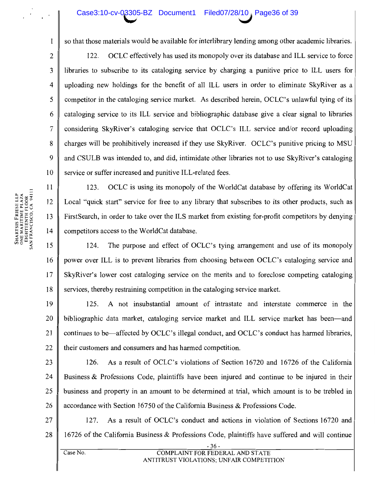### Case3:10-cv-03305-BZ Document1 Filed07/28/10, Page36 of 39

so that those materials would be available for interlibrary lending among other academic libraries.

OCLC effectively has used its monopoly over its database and ILL service to force 122. libraries to subscribe to its cataloging service by charging a punitive price to ILL users for uploading new holdings for the benefit of all ILL users in order to eliminate SkyRiver as a competitor in the cataloging service market. As described herein, OCLC's unlawful tying of its cataloging service to its ILL service and bibliographic database give a clear signal to libraries considering SkyRiver's cataloging service that OCLC's ILL service and/or record uploading charges will be prohibitively increased if they use SkyRiver. OCLC's punitive pricing to MSU and CSULB was intended to, and did, intimidate other libraries not to use SkyRiver's cataloging service or suffer increased and punitive ILL-related fees.

OCLC is using its monopoly of the WorldCat database by offering its WorldCat 123. Local "quick start" service for free to any library that subscribes to its other products, such as First Search, in order to take over the ILS market from existing for-profit competitors by denying competitors access to the WorldCat database.

15 124. The purpose and effect of OCLC's tying arrangement and use of its monopoly 16 power over ILL is to prevent libraries from choosing between OCLC's cataloging service and  $17$ SkyRiver's lower cost cataloging service on the merits and to foreclose competing cataloging 18 services, thereby restraining competition in the cataloging service market.

19 A not insubstantial amount of intrastate and interstate commerce in the  $125.$ 20 bibliographic data market, cataloging service market and ILL service market has been—and 21 continues to be—affected by OCLC's illegal conduct, and OCLC's conduct has harmed libraries, 22 their customers and consumers and has harmed competition.

23

As a result of OCLC's violations of Section 16720 and 16726 of the California 126. 24 Business & Professions Code, plaintiffs have been injured and continue to be injured in their 25 business and property in an amount to be determined at trial, which amount is to be trebled in 26 accordance with Section 16750 of the California Business & Professions Code.

27 As a result of OCLC's conduct and actions in violation of Sections 16720 and 127. 28 16726 of the California Business & Professions Code, plaintiffs have suffered and will continue

 $\mathbf{1}$ 

 $\overline{2}$ 

3

 $\overline{4}$ 

5

6

 $\overline{7}$ 

8

 $\mathbf{Q}$ 

10

11

12

13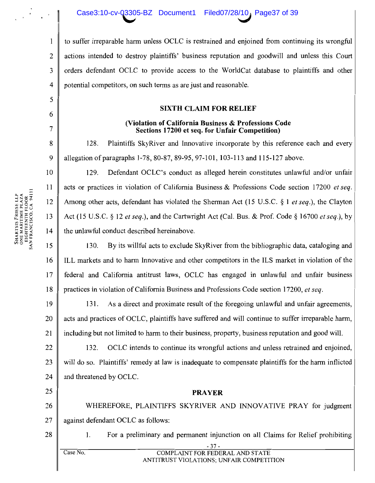to suffer irreparable harm unless OCLC is restrained and enjoined from continuing its wrongful actions intended to destroy plaintiffs' business reputation and goodwill and unless this Court orders defendant OCLC to provide access to the WorldCat database to plaintiffs and other potential competitors, on such terms as are just and reasonable.

### **SIXTH CLAIM FOR RELIEF**

### (Violation of California Business & Professions Code) Sections 17200 et seq. for Unfair Competition)

128. Plaintiffs SkyRiver and Innovative incorporate by this reference each and every allegation of paragraphs 1-78, 80-87, 89-95, 97-101, 103-113 and 115-127 above.

129. Defendant OCLC's conduct as alleged herein constitutes unlawful and/or unfair acts or practices in violation of California Business & Professions Code section 17200 et seq. Among other acts, defendant has violated the Sherman Act (15 U.S.C.  $\S$  1 *et seq.*), the Clayton Act (15 U.S.C. § 12 et seq.), and the Cartwright Act (Cal. Bus. & Prof. Code § 16700 et seq.), by the unlawful conduct described hereinabove.

15 By its willful acts to exclude SkyRiver from the bibliographic data, cataloging and 130. 16 ILL markets and to harm Innovative and other competitors in the ILS market in violation of the  $17$ federal and California antitrust laws, OCLC has engaged in unlawful and unfair business 18 practices in violation of California Business and Professions Code section 17200, et seq.

19 131. As a direct and proximate result of the foregoing unlawful and unfair agreements, 20 acts and practices of OCLC, plaintiffs have suffered and will continue to suffer irreparable harm, 21 including but not limited to harm to their business, property, business reputation and good will.

22 132. OCLC intends to continue its wrongful actions and unless retrained and enjoined, 23 will do so. Plaintiffs' remedy at law is inadequate to compensate plaintiffs for the harm inflicted 24 and threatened by OCLC.

26 WHEREFORE, PLAINTIFFS SKYRIVER AND INNOVATIVE PRAY for judgment 27 against defendant OCLC as follows:

**PRAYER** 

28

25

- For a preliminary and permanent injunction on all Claims for Relief prohibiting 1.
- Case No.

 $\mathbf{1}$ 

 $\overline{2}$ 

 $\overline{3}$ 

 $\overline{4}$ 

5

6

 $\overline{7}$ 

8

9

10

 $11$ 

12

 $13$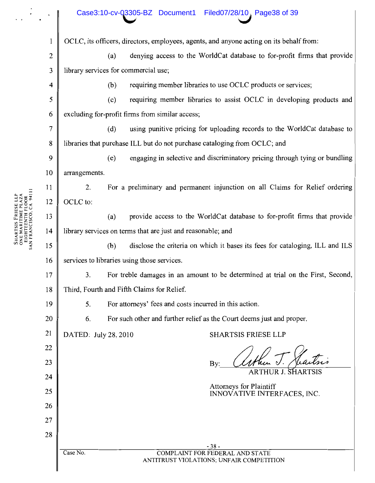|                  | Case3:10-cv-03305-BZ Document1<br>Filed07/28/10, Page38 of 39                           |  |  |  |
|------------------|-----------------------------------------------------------------------------------------|--|--|--|
| $\mathbf{l}$     | OCLC, its officers, directors, employees, agents, and anyone acting on its behalf from: |  |  |  |
| $\boldsymbol{2}$ | denying access to the WorldCat database to for-profit firms that provide<br>(a)         |  |  |  |
| $\mathfrak{Z}$   | library services for commercial use;                                                    |  |  |  |
| 4                | requiring member libraries to use OCLC products or services;<br>(b)                     |  |  |  |
| 5                | requiring member libraries to assist OCLC in developing products and<br>(c)             |  |  |  |
| 6                | excluding for-profit firms from similar access;                                         |  |  |  |
| $\overline{7}$   | (d)<br>using punitive pricing for uploading records to the WorldCat database to         |  |  |  |
| $\bf 8$          | libraries that purchase ILL but do not purchase cataloging from OCLC; and               |  |  |  |
| 9                | (e)<br>engaging in selective and discriminatory pricing through tying or bundling       |  |  |  |
| 10               | arrangements.                                                                           |  |  |  |
| 11               | For a preliminary and permanent injunction on all Claims for Relief ordering<br>2.      |  |  |  |
| 12               | OCLC to:                                                                                |  |  |  |
| 13               | provide access to the WorldCat database to for-profit firms that provide<br>(a)         |  |  |  |
| 14               | library services on terms that are just and reasonable; and                             |  |  |  |
| 15               | disclose the criteria on which it bases its fees for cataloging, ILL and ILS<br>(b)     |  |  |  |
| 16               | services to libraries using those services.                                             |  |  |  |
| 17               | For treble damages in an amount to be determined at trial on the First, Second,<br>3.   |  |  |  |
| 18               | Third, Fourth and Fifth Claims for Relief.                                              |  |  |  |
| 19               | For attorneys' fees and costs incurred in this action.<br>5.                            |  |  |  |
| 20               | For such other and further relief as the Court deems just and proper.<br>6.             |  |  |  |
| 21               | <b>SHARTSIS FRIESE LLP</b><br>DATED: July 28, 2010                                      |  |  |  |
| 22               |                                                                                         |  |  |  |
| 23               | By:<br>ARTHUR J. SHARTSIS                                                               |  |  |  |
| 24               |                                                                                         |  |  |  |
| 25               | Attorneys for Plaintiff<br>INNOVATIVE INTERFACES, INC.                                  |  |  |  |
| 26               |                                                                                         |  |  |  |
| 27               |                                                                                         |  |  |  |
| 28               |                                                                                         |  |  |  |
|                  | $-38-$<br>Case No.<br><b>COMPLAINT FOR FEDERAL AND STATE</b>                            |  |  |  |

ANTITRUST VIOLATIONS; UNFAIR COMPETITION

SHARTSIS FRIESE LLP<br>ONE MARITIME PLAZA<br>EIGHTEENTH FLOOR<br>SAN FRANCISCO, CA 94111

 $\cdot$ 

 $\ddotsc$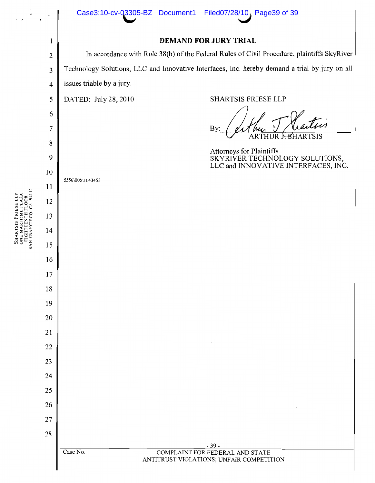

SHARTSIS FRIESE LLP<br>ONE MARITIME PLAZA<br>EIGHTEENTH PLOOR<br>SAN FRANCISCO, CA 94111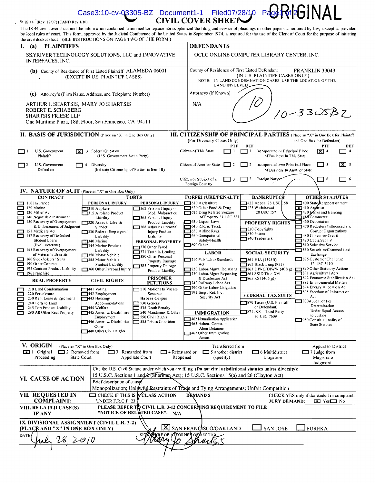|                                                                                                                                                                                                                                                                                                                                                                                                                                           |                                                                                                                                                                                                                                                                                                                                                                                                                                                                                                                                                                                |                                                                                                                                                                                                                                                                                                                                                                                                                                                                                                                                        |                                                                                                                                                                                                                                                                                                                                                                                                                                                                                                                                  |                                                                                                                                                                                                                               | <b>CIVIL COVER SHEET</b>                                                                                                                                                                                                                                                                                                                                                                                                                                                                                                                                                   | Case3:10-cv-03305-BZ Document1-1 Filed07/28/10 Page $Rf2GIMAL$                                                                                                                                                                                                                                                                                                                                                                            |                                                                                                                                                                                                                                                                                                                                                                                                                                                                                                                                                                                                                                                                            |  |
|-------------------------------------------------------------------------------------------------------------------------------------------------------------------------------------------------------------------------------------------------------------------------------------------------------------------------------------------------------------------------------------------------------------------------------------------|--------------------------------------------------------------------------------------------------------------------------------------------------------------------------------------------------------------------------------------------------------------------------------------------------------------------------------------------------------------------------------------------------------------------------------------------------------------------------------------------------------------------------------------------------------------------------------|----------------------------------------------------------------------------------------------------------------------------------------------------------------------------------------------------------------------------------------------------------------------------------------------------------------------------------------------------------------------------------------------------------------------------------------------------------------------------------------------------------------------------------------|----------------------------------------------------------------------------------------------------------------------------------------------------------------------------------------------------------------------------------------------------------------------------------------------------------------------------------------------------------------------------------------------------------------------------------------------------------------------------------------------------------------------------------|-------------------------------------------------------------------------------------------------------------------------------------------------------------------------------------------------------------------------------|----------------------------------------------------------------------------------------------------------------------------------------------------------------------------------------------------------------------------------------------------------------------------------------------------------------------------------------------------------------------------------------------------------------------------------------------------------------------------------------------------------------------------------------------------------------------------|-------------------------------------------------------------------------------------------------------------------------------------------------------------------------------------------------------------------------------------------------------------------------------------------------------------------------------------------------------------------------------------------------------------------------------------------|----------------------------------------------------------------------------------------------------------------------------------------------------------------------------------------------------------------------------------------------------------------------------------------------------------------------------------------------------------------------------------------------------------------------------------------------------------------------------------------------------------------------------------------------------------------------------------------------------------------------------------------------------------------------------|--|
|                                                                                                                                                                                                                                                                                                                                                                                                                                           | § JS 44 (Rev. 12/07) (CAND Rev 1/10)<br>The JS 44 civil cover sheet and the information contained herein neither replace nor supplement the filing and service of pleadings or other papers as required by law, except as provided<br>by local rules of court. This form, approved by the Judicial Conference of the United States in September 1974, is required for the use of the Clerk of Court for the purpose of initiating                                                                                                                                              |                                                                                                                                                                                                                                                                                                                                                                                                                                                                                                                                        |                                                                                                                                                                                                                                                                                                                                                                                                                                                                                                                                  |                                                                                                                                                                                                                               |                                                                                                                                                                                                                                                                                                                                                                                                                                                                                                                                                                            |                                                                                                                                                                                                                                                                                                                                                                                                                                           |                                                                                                                                                                                                                                                                                                                                                                                                                                                                                                                                                                                                                                                                            |  |
| the civil docket sheet. (SEE INSTRUCTIONS ON PAGE TWO OF THE FORM.)<br><b>PLAINTIFFS</b><br>L.<br>(a)                                                                                                                                                                                                                                                                                                                                     |                                                                                                                                                                                                                                                                                                                                                                                                                                                                                                                                                                                |                                                                                                                                                                                                                                                                                                                                                                                                                                                                                                                                        |                                                                                                                                                                                                                                                                                                                                                                                                                                                                                                                                  |                                                                                                                                                                                                                               | <b>DEFENDANTS</b>                                                                                                                                                                                                                                                                                                                                                                                                                                                                                                                                                          |                                                                                                                                                                                                                                                                                                                                                                                                                                           |                                                                                                                                                                                                                                                                                                                                                                                                                                                                                                                                                                                                                                                                            |  |
| SKYRIVER TECHNOLOGY SOLUTIONS, LLC and INNOVATIVE<br>INTERFACES, INC.<br>(b) County of Residence of First Listed Plaintiff ALAMEDA 06001<br>(EXCEPT IN U.S. PLAINTIFF CASES)                                                                                                                                                                                                                                                              |                                                                                                                                                                                                                                                                                                                                                                                                                                                                                                                                                                                |                                                                                                                                                                                                                                                                                                                                                                                                                                                                                                                                        |                                                                                                                                                                                                                                                                                                                                                                                                                                                                                                                                  | OCLC ONLINE COMPUTER LIBRARY CENTER, INC.<br>County of Residence of First Listed Defendant<br>FRANKLIN 39049<br>(IN U.S. PLAINTIFF CASES ONLY)<br>NOTE: IN LAND CONDEMNATION CASES, USE THE LOCATION OF THE<br>LAND INVOLVED. |                                                                                                                                                                                                                                                                                                                                                                                                                                                                                                                                                                            |                                                                                                                                                                                                                                                                                                                                                                                                                                           |                                                                                                                                                                                                                                                                                                                                                                                                                                                                                                                                                                                                                                                                            |  |
|                                                                                                                                                                                                                                                                                                                                                                                                                                           |                                                                                                                                                                                                                                                                                                                                                                                                                                                                                                                                                                                |                                                                                                                                                                                                                                                                                                                                                                                                                                                                                                                                        |                                                                                                                                                                                                                                                                                                                                                                                                                                                                                                                                  |                                                                                                                                                                                                                               |                                                                                                                                                                                                                                                                                                                                                                                                                                                                                                                                                                            |                                                                                                                                                                                                                                                                                                                                                                                                                                           |                                                                                                                                                                                                                                                                                                                                                                                                                                                                                                                                                                                                                                                                            |  |
|                                                                                                                                                                                                                                                                                                                                                                                                                                           | Attorney's (Firm Name, Address, and Telephone Number)<br>(c)<br>ARTHUR J. SHARTSIS, MARY JO SHARTSIS<br>ROBERT E. SCHABERG<br><b>SHARTSIS FRIESE LLP</b><br>One Maritime Plaza, 18th Floor, San Francisco, CA 94111                                                                                                                                                                                                                                                                                                                                                            |                                                                                                                                                                                                                                                                                                                                                                                                                                                                                                                                        |                                                                                                                                                                                                                                                                                                                                                                                                                                                                                                                                  |                                                                                                                                                                                                                               | Attorneys (If Known)                                                                                                                                                                                                                                                                                                                                                                                                                                                                                                                                                       |                                                                                                                                                                                                                                                                                                                                                                                                                                           |                                                                                                                                                                                                                                                                                                                                                                                                                                                                                                                                                                                                                                                                            |  |
|                                                                                                                                                                                                                                                                                                                                                                                                                                           |                                                                                                                                                                                                                                                                                                                                                                                                                                                                                                                                                                                |                                                                                                                                                                                                                                                                                                                                                                                                                                                                                                                                        |                                                                                                                                                                                                                                                                                                                                                                                                                                                                                                                                  |                                                                                                                                                                                                                               | N/A<br>$10 - 3305B7$                                                                                                                                                                                                                                                                                                                                                                                                                                                                                                                                                       |                                                                                                                                                                                                                                                                                                                                                                                                                                           |                                                                                                                                                                                                                                                                                                                                                                                                                                                                                                                                                                                                                                                                            |  |
|                                                                                                                                                                                                                                                                                                                                                                                                                                           | II. BASIS OF JURISDICTION (Place an "X" in One Box Only)                                                                                                                                                                                                                                                                                                                                                                                                                                                                                                                       |                                                                                                                                                                                                                                                                                                                                                                                                                                                                                                                                        |                                                                                                                                                                                                                                                                                                                                                                                                                                                                                                                                  |                                                                                                                                                                                                                               | (For Diversity Cases Only)                                                                                                                                                                                                                                                                                                                                                                                                                                                                                                                                                 |                                                                                                                                                                                                                                                                                                                                                                                                                                           | III. CITIZENSHIP OF PRINCIPAL PARTIES (Place an "X" in One Box for Plaintiff<br>and One Box for Defendant)                                                                                                                                                                                                                                                                                                                                                                                                                                                                                                                                                                 |  |
|                                                                                                                                                                                                                                                                                                                                                                                                                                           | U.S. Government<br>l×۱<br>Plaintiff                                                                                                                                                                                                                                                                                                                                                                                                                                                                                                                                            | 3 Federal Question<br>(U.S. Government Not a Party)                                                                                                                                                                                                                                                                                                                                                                                                                                                                                    |                                                                                                                                                                                                                                                                                                                                                                                                                                                                                                                                  |                                                                                                                                                                                                                               | <b>PTF</b><br>Citizen of This State                                                                                                                                                                                                                                                                                                                                                                                                                                                                                                                                        | DEF<br>ו ד<br>Incorporated or Principal Place<br>of Business In This State                                                                                                                                                                                                                                                                                                                                                                | <b>PTF</b><br>DEF<br>$\mathbf{X}$ 4<br>$\overline{4}$                                                                                                                                                                                                                                                                                                                                                                                                                                                                                                                                                                                                                      |  |
| $\Box$ 2                                                                                                                                                                                                                                                                                                                                                                                                                                  | U.S. Government<br>Defendant                                                                                                                                                                                                                                                                                                                                                                                                                                                                                                                                                   | Diversity<br>(Indicate Citizenship of Parties in Item III)                                                                                                                                                                                                                                                                                                                                                                                                                                                                             |                                                                                                                                                                                                                                                                                                                                                                                                                                                                                                                                  |                                                                                                                                                                                                                               | Citizen of Another State<br>  2                                                                                                                                                                                                                                                                                                                                                                                                                                                                                                                                            | Incorporated and Principal Place<br>$\frac{1}{2}$<br>of Business In Another State                                                                                                                                                                                                                                                                                                                                                         | $\mathbf{X}$ 5<br>$\begin{array}{c} \end{array}$                                                                                                                                                                                                                                                                                                                                                                                                                                                                                                                                                                                                                           |  |
|                                                                                                                                                                                                                                                                                                                                                                                                                                           | <b>IV. NATURE OF SUIT</b> (Place an "X" in One Box Only)                                                                                                                                                                                                                                                                                                                                                                                                                                                                                                                       |                                                                                                                                                                                                                                                                                                                                                                                                                                                                                                                                        |                                                                                                                                                                                                                                                                                                                                                                                                                                                                                                                                  |                                                                                                                                                                                                                               | Citizen or Subject of a<br>3<br>Foreign Country                                                                                                                                                                                                                                                                                                                                                                                                                                                                                                                            | T 3<br>Foreign Nation                                                                                                                                                                                                                                                                                                                                                                                                                     | $\Box$ 6<br>$\Box$ 6                                                                                                                                                                                                                                                                                                                                                                                                                                                                                                                                                                                                                                                       |  |
|                                                                                                                                                                                                                                                                                                                                                                                                                                           | <b>CONTRACT</b>                                                                                                                                                                                                                                                                                                                                                                                                                                                                                                                                                                |                                                                                                                                                                                                                                                                                                                                                                                                                                                                                                                                        | <b>TORTS</b>                                                                                                                                                                                                                                                                                                                                                                                                                                                                                                                     |                                                                                                                                                                                                                               | FORFEITURE/PENALTY                                                                                                                                                                                                                                                                                                                                                                                                                                                                                                                                                         | <b>BANKRUPTCN</b>                                                                                                                                                                                                                                                                                                                                                                                                                         | <b>OTHER STATUTES</b>                                                                                                                                                                                                                                                                                                                                                                                                                                                                                                                                                                                                                                                      |  |
| ▭<br>▭<br>Г<br>┍<br>$\Box$<br>$\Box$<br>М<br>$\sim$<br>Ξ<br>H<br>⊏<br>ш                                                                                                                                                                                                                                                                                                                                                                   | $110$ Insurance<br>120 Marine<br>130 Miller Act<br>140 Negotiable Instrument<br>150 Recovery of Overpayment<br>& Enforcement of Judgment<br>151 Medicare Act<br>152 Recovery of Defaulted<br>Student Loans<br>(Excl. Veterans)<br>153 Recovery of Overpayment<br>of Veteran's Benefits<br>160 Stockholders' Suits<br>190 Other Contract<br>195 Contract Product Liability<br>196 Franchise<br><b>REAL PROPERTY</b><br>210 Land Condemnation<br>220 Foreclosure<br>230 Rent Lease & Ejectment<br>240 Torts to Land<br>245 Tort Product Liability<br>290 All Other Real Property | PERSONAL INJURY<br>310 Aimlane<br>315 Airplane Product<br>Liability<br>$\frac{1}{2}$ 320 Assault, Libel &<br>Slander<br>"330 Federal Employers"<br>Liability<br>340 Marine<br>1345 Marine Product<br>Liability<br>350 Motor Vehicle<br>355 Motor Vehicle<br>Product Liability<br>360 Other Personal Injury<br><b>CIVIL RIGHTS</b><br>7441 Voting<br>■442 Employment⊑<br>$\Box$ 443 Housing/<br>Accommodations<br>¶444 Welfare<br>1445 Amer. w/Disabilities -<br>Employment<br>446 Amer. w/Disabilities -1555 Prison Condition<br>Other | PERSONAL INJURY<br>$\Box$ 362 Personal Injury—<br>Med. Malpractice<br>$\Box$ 365 Personal Injury —<br>Product Liability<br>368 Asbestos Personal<br><b>Injury Product</b><br>Liability<br>PERSONAL PROPERTY<br>370 Other Fraud<br>371 Truth in Lending<br>380 Other Personal<br>Property Damage<br>385 Property Damage<br>Product Liability<br><b>PRISONER</b><br>PETITIONS<br>510 Motions to Vacate<br>Sentence<br>Habeas Corpus:<br>$\Box$ 530 General<br>535 Death Penalty<br>540 Mandamus & Other<br>$\Box$ 550 Civil Rights |                                                                                                                                                                                                                               | $\Box$ 610 Agriculture<br>620 Other Food & Drug<br>1625 Drug Related Seizure<br>of Property 21 USC 881<br>1630 Liquor Laws<br>$\Box$ 640 R.R. & Truck<br>550 Airline Regs.<br>660 Occupational<br>Safety/Health<br>$\Box$ 690 Other<br><b>LABOR</b><br>710 Fair Labor Standards<br>Act<br>720 Labor/Mgmt. Relations<br>730 Labor/Mgmt.Reporting<br>& Disclosure Act<br>740 Railway Labor Act<br>790 Other Labor Litigation<br>$\Box$ 791 Empl. Ret. Inc.<br>Security Act<br><b>IMMIGRATION</b><br>462 Naturalization Application<br>1463 Habeas Corpus -<br>Alien Detainee | 422 Appeal 28 USC 158<br>423 Withdrawal<br>28 USC 157<br><b>PROPERTY RIGHTS</b><br>820 Copyrights<br>830 Patent<br>340 Trademark<br><b>SOCIAL SECURITY</b><br><b>1861 HIA (1395ff)</b><br>1862 Black Lung (923)<br>$-$ 863 DIWC/DIWW (405(g))<br>$\mathbf{I}^{\text{864}}$ SSID Title XVI<br>┍<br>$\Box$ 865 RS1 (405(g))<br><b>FEDERAL TAX SUITS</b><br>370 Taxes (U.S. Plaintiff<br>or Defendant)<br>871 IRS-Third Party<br>26 USC 7609 | $\Box$ 400 State Reapportionment<br>$\sqrt{1410}$ And trust<br>1430 Banks and Banking<br>1450 Commerce<br>460 Deportation<br>1470 Racketeer tnfluenced and<br>Corrupt Organizations<br>480 Consumer Credit<br>490 Cable/Sat TV<br>810 Selective Service<br>850 Securities/Commodities/<br>Exchange<br>875 Customer Challenge<br>12 USC 3410<br>890 Other Statutory Actions<br>891 Agricultural Acts<br>892 Economic Stabilization Act<br>893 Environmental Matters<br>894 Energy Allocation Act<br>895 Freedom of Information<br>Act<br>$\Box$ 900 Appeal of Fee<br>Determination<br>Under Equal Access<br>to Justice<br>950 Constitutionality of<br><b>State Statutes</b> |  |
| $\Box$ 440 Other Civil Rights<br>1465 Other Immigration<br>Actions<br>V. ORIGIN<br>(Place an "X" in One Box Only)<br>Transferred from<br>Appeal to District<br>1 Original<br>$\Box$ 2 Removed from<br>$\Box$ 3 Remanded from<br>$\Box$ 4 Reinstated or<br>$\Box$ 5 another district<br>$\Box$ 6 Multidistrict<br>$\Box$ 7 Judge from<br>State Court<br>Proceeding<br>Appellate Court<br>Reopened<br>Magistrate<br>(specify)<br>Litigation |                                                                                                                                                                                                                                                                                                                                                                                                                                                                                                                                                                                |                                                                                                                                                                                                                                                                                                                                                                                                                                                                                                                                        |                                                                                                                                                                                                                                                                                                                                                                                                                                                                                                                                  |                                                                                                                                                                                                                               |                                                                                                                                                                                                                                                                                                                                                                                                                                                                                                                                                                            |                                                                                                                                                                                                                                                                                                                                                                                                                                           |                                                                                                                                                                                                                                                                                                                                                                                                                                                                                                                                                                                                                                                                            |  |
|                                                                                                                                                                                                                                                                                                                                                                                                                                           | VI. CAUSE OF ACTION                                                                                                                                                                                                                                                                                                                                                                                                                                                                                                                                                            | Brief description of cause                                                                                                                                                                                                                                                                                                                                                                                                                                                                                                             |                                                                                                                                                                                                                                                                                                                                                                                                                                                                                                                                  |                                                                                                                                                                                                                               | 15 U.S.C. Sections 1 and 2 (Sherman Act); 15 U.S.C. Sections 15(a) and 26 (Clayton Act)<br>Monopolization; Unlawful Restraints of Trade and Tying Arrangements; Unfair Competition                                                                                                                                                                                                                                                                                                                                                                                         | Cite the U.S. Civil Statute under which you are filing (Do not cite jurisdictional statutes unless diversity):                                                                                                                                                                                                                                                                                                                            | Judgment                                                                                                                                                                                                                                                                                                                                                                                                                                                                                                                                                                                                                                                                   |  |
| <b>VII. REQUESTED IN</b><br><b>YCLASS ACTION</b><br>$\Box$ CHECK IF THIS IS<br><b>COMPLAINT:</b><br>UNDER F.R.C.P. 23                                                                                                                                                                                                                                                                                                                     |                                                                                                                                                                                                                                                                                                                                                                                                                                                                                                                                                                                |                                                                                                                                                                                                                                                                                                                                                                                                                                                                                                                                        |                                                                                                                                                                                                                                                                                                                                                                                                                                                                                                                                  |                                                                                                                                                                                                                               | <b>DRMANDS</b>                                                                                                                                                                                                                                                                                                                                                                                                                                                                                                                                                             | <b>JURY DEMAND:</b>                                                                                                                                                                                                                                                                                                                                                                                                                       | CHECK YES only if demanded in complaint:<br>$\blacksquare$ Yes $\blacksquare$ No                                                                                                                                                                                                                                                                                                                                                                                                                                                                                                                                                                                           |  |
| PLEASE REFER TO CIVIL L.R. 3-12 CONCERNING REQUIREMENT TO FILE<br>VIII. RELATED CASE(S)<br>"NOTICE OF RELATED CASE". N/A<br>IF ANY                                                                                                                                                                                                                                                                                                        |                                                                                                                                                                                                                                                                                                                                                                                                                                                                                                                                                                                |                                                                                                                                                                                                                                                                                                                                                                                                                                                                                                                                        |                                                                                                                                                                                                                                                                                                                                                                                                                                                                                                                                  |                                                                                                                                                                                                                               |                                                                                                                                                                                                                                                                                                                                                                                                                                                                                                                                                                            |                                                                                                                                                                                                                                                                                                                                                                                                                                           |                                                                                                                                                                                                                                                                                                                                                                                                                                                                                                                                                                                                                                                                            |  |
|                                                                                                                                                                                                                                                                                                                                                                                                                                           | IX. DIVISIONAL ASSIGNMENT (CIVIL L.R. 3-2)<br>(PLACE AND "X" IN ONE BOX ONLY)                                                                                                                                                                                                                                                                                                                                                                                                                                                                                                  |                                                                                                                                                                                                                                                                                                                                                                                                                                                                                                                                        | IXI<br>SION.                                                                                                                                                                                                                                                                                                                                                                                                                                                                                                                     |                                                                                                                                                                                                                               | SAN FRANCISCO/OAKLAND<br><b>XFYRE OF ATTORNET OF RECORD</b>                                                                                                                                                                                                                                                                                                                                                                                                                                                                                                                | <b>SAN JOSE</b>                                                                                                                                                                                                                                                                                                                                                                                                                           | <b>EUREKA</b>                                                                                                                                                                                                                                                                                                                                                                                                                                                                                                                                                                                                                                                              |  |
|                                                                                                                                                                                                                                                                                                                                                                                                                                           | <b>DATE</b><br><u>aly 28, 2010</u>                                                                                                                                                                                                                                                                                                                                                                                                                                                                                                                                             |                                                                                                                                                                                                                                                                                                                                                                                                                                                                                                                                        |                                                                                                                                                                                                                                                                                                                                                                                                                                                                                                                                  |                                                                                                                                                                                                                               | $\mu_1$ <sub>14</sub>                                                                                                                                                                                                                                                                                                                                                                                                                                                                                                                                                      |                                                                                                                                                                                                                                                                                                                                                                                                                                           |                                                                                                                                                                                                                                                                                                                                                                                                                                                                                                                                                                                                                                                                            |  |
|                                                                                                                                                                                                                                                                                                                                                                                                                                           |                                                                                                                                                                                                                                                                                                                                                                                                                                                                                                                                                                                |                                                                                                                                                                                                                                                                                                                                                                                                                                                                                                                                        |                                                                                                                                                                                                                                                                                                                                                                                                                                                                                                                                  |                                                                                                                                                                                                                               |                                                                                                                                                                                                                                                                                                                                                                                                                                                                                                                                                                            |                                                                                                                                                                                                                                                                                                                                                                                                                                           |                                                                                                                                                                                                                                                                                                                                                                                                                                                                                                                                                                                                                                                                            |  |